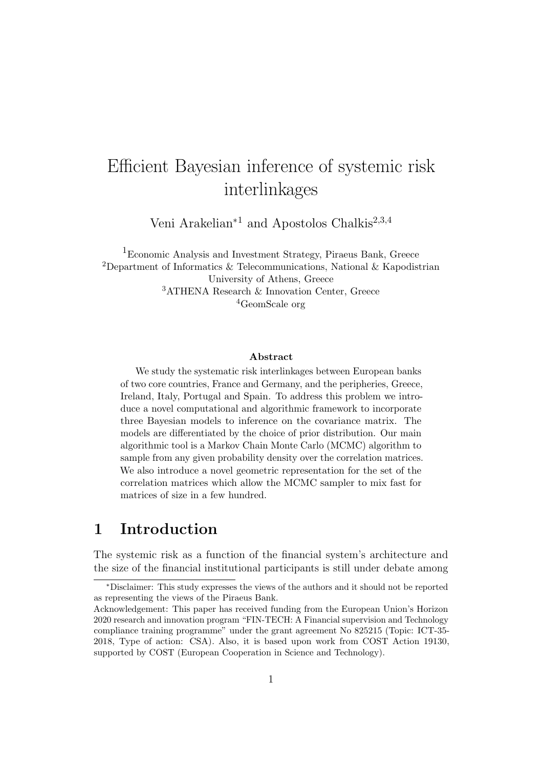# Efficient Bayesian inference of systemic risk interlinkages

Veni Arakelian<sup>∗</sup><sup>1</sup> and Apostolos Chalkis2,3,4

<sup>1</sup>Economic Analysis and Investment Strategy, Piraeus Bank, Greece <sup>2</sup>Department of Informatics & Telecommunications, National & Kapodistrian University of Athens, Greece <sup>3</sup>ATHENA Research & Innovation Center, Greece <sup>4</sup>GeomScale org

#### Abstract

We study the systematic risk interlinkages between European banks of two core countries, France and Germany, and the peripheries, Greece, Ireland, Italy, Portugal and Spain. To address this problem we introduce a novel computational and algorithmic framework to incorporate three Bayesian models to inference on the covariance matrix. The models are differentiated by the choice of prior distribution. Our main algorithmic tool is a Markov Chain Monte Carlo (MCMC) algorithm to sample from any given probability density over the correlation matrices. We also introduce a novel geometric representation for the set of the correlation matrices which allow the MCMC sampler to mix fast for matrices of size in a few hundred.

### <span id="page-0-0"></span>1 Introduction

The systemic risk as a function of the financial system's architecture and the size of the financial institutional participants is still under debate among

<sup>∗</sup>Disclaimer: This study expresses the views of the authors and it should not be reported as representing the views of the Piraeus Bank.

Acknowledgement: This paper has received funding from the European Union's Horizon 2020 research and innovation program "FIN-TECH: A Financial supervision and Technology compliance training programme" under the grant agreement No 825215 (Topic: ICT-35- 2018, Type of action: CSA). Also, it is based upon work from COST Action 19130, supported by COST (European Cooperation in Science and Technology).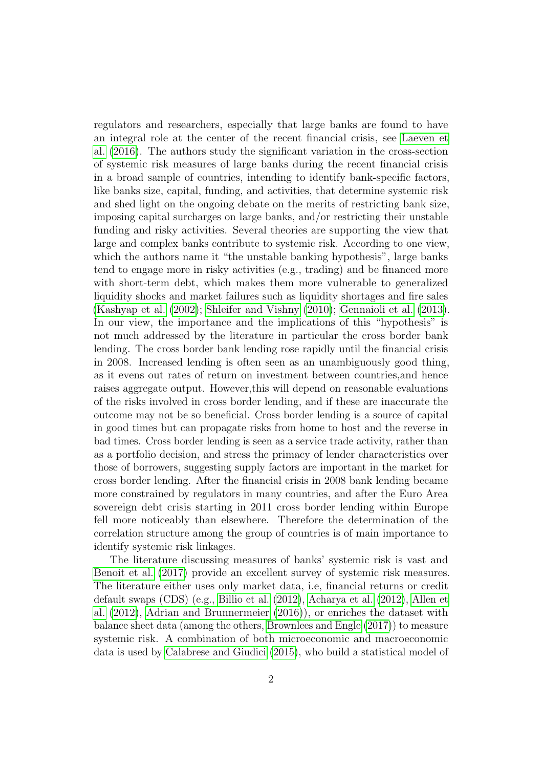regulators and researchers, especially that large banks are found to have an integral role at the center of the recent financial crisis, see [Laeven et](#page-25-0) [al.](#page-25-0) [\(2016\)](#page-25-0). The authors study the significant variation in the cross-section of systemic risk measures of large banks during the recent financial crisis in a broad sample of countries, intending to identify bank-specific factors, like banks size, capital, funding, and activities, that determine systemic risk and shed light on the ongoing debate on the merits of restricting bank size, imposing capital surcharges on large banks, and/or restricting their unstable funding and risky activities. Several theories are supporting the view that large and complex banks contribute to systemic risk. According to one view, which the authors name it "the unstable banking hypothesis", large banks tend to engage more in risky activities (e.g., trading) and be financed more with short-term debt, which makes them more vulnerable to generalized liquidity shocks and market failures such as liquidity shortages and fire sales [\(Kashyap et al.](#page-24-0) [\(2002\)](#page-24-0); [Shleifer and Vishny](#page-25-1) [\(2010\)](#page-25-1); [Gennaioli et al.](#page-24-1) [\(2013\)](#page-24-1). In our view, the importance and the implications of this "hypothesis" is not much addressed by the literature in particular the cross border bank lending. The cross border bank lending rose rapidly until the financial crisis in 2008. Increased lending is often seen as an unambiguously good thing, as it evens out rates of return on investment between countries,and hence raises aggregate output. However,this will depend on reasonable evaluations of the risks involved in cross border lending, and if these are inaccurate the outcome may not be so beneficial. Cross border lending is a source of capital in good times but can propagate risks from home to host and the reverse in bad times. Cross border lending is seen as a service trade activity, rather than as a portfolio decision, and stress the primacy of lender characteristics over those of borrowers, suggesting supply factors are important in the market for cross border lending. After the financial crisis in 2008 bank lending became more constrained by regulators in many countries, and after the Euro Area sovereign debt crisis starting in 2011 cross border lending within Europe fell more noticeably than elsewhere. Therefore the determination of the correlation structure among the group of countries is of main importance to identify systemic risk linkages.

The literature discussing measures of banks' systemic risk is vast and [Benoit et al.](#page-23-0) [\(2017\)](#page-23-0) provide an excellent survey of systemic risk measures. The literature either uses only market data, i.e, financial returns or credit default swaps (CDS) (e.g., [Billio et al.](#page-23-1) [\(2012\)](#page-23-1), [Acharya et al.](#page-22-0) [\(2012\)](#page-22-0), [Allen et](#page-22-1) [al.](#page-22-1) [\(2012\)](#page-22-1), [Adrian and Brunnermeier](#page-22-2) [\(2016\)](#page-22-2)), or enriches the dataset with balance sheet data (among the others, [Brownlees and Engle](#page-23-2) [\(2017\)](#page-23-2)) to measure systemic risk. A combination of both microeconomic and macroeconomic data is used by [Calabrese and Giudici](#page-23-3) [\(2015\)](#page-23-3), who build a statistical model of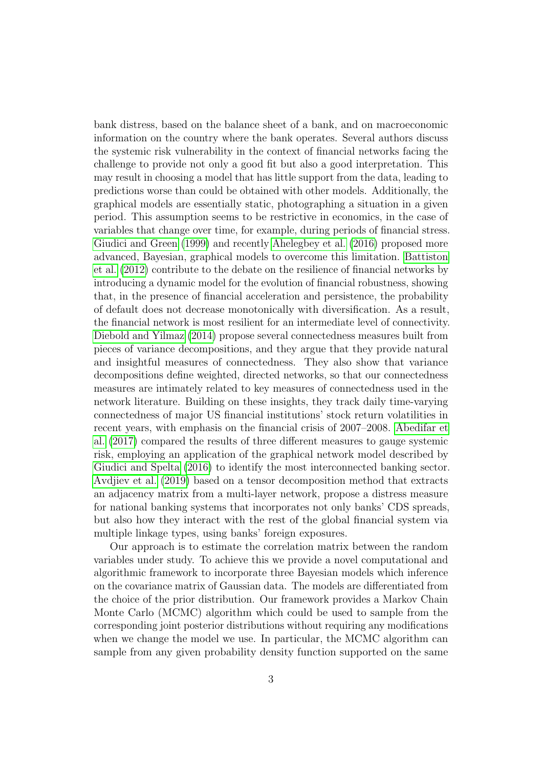bank distress, based on the balance sheet of a bank, and on macroeconomic information on the country where the bank operates. Several authors discuss the systemic risk vulnerability in the context of financial networks facing the challenge to provide not only a good fit but also a good interpretation. This may result in choosing a model that has little support from the data, leading to predictions worse than could be obtained with other models. Additionally, the graphical models are essentially static, photographing a situation in a given period. This assumption seems to be restrictive in economics, in the case of variables that change over time, for example, during periods of financial stress. [Giudici and Green](#page-24-2) [\(1999\)](#page-24-2) and recently [Ahelegbey et al.](#page-22-3) [\(2016\)](#page-22-3) proposed more advanced, Bayesian, graphical models to overcome this limitation. [Battiston](#page-22-4) [et al.](#page-22-4) [\(2012\)](#page-22-4) contribute to the debate on the resilience of financial networks by introducing a dynamic model for the evolution of financial robustness, showing that, in the presence of financial acceleration and persistence, the probability of default does not decrease monotonically with diversification. As a result, the financial network is most resilient for an intermediate level of connectivity. [Diebold and Yilmaz](#page-23-4) [\(2014\)](#page-23-4) propose several connectedness measures built from pieces of variance decompositions, and they argue that they provide natural and insightful measures of connectedness. They also show that variance decompositions define weighted, directed networks, so that our connectedness measures are intimately related to key measures of connectedness used in the network literature. Building on these insights, they track daily time-varying connectedness of major US financial institutions' stock return volatilities in recent years, with emphasis on the financial crisis of 2007–2008. [Abedifar et](#page-22-5) [al.](#page-22-5) [\(2017\)](#page-22-5) compared the results of three different measures to gauge systemic risk, employing an application of the graphical network model described by [Giudici and Spelta](#page-24-3) [\(2016\)](#page-24-3) to identify the most interconnected banking sector. [Avdjiev et al.](#page-22-6) [\(2019\)](#page-22-6) based on a tensor decomposition method that extracts an adjacency matrix from a multi-layer network, propose a distress measure for national banking systems that incorporates not only banks' CDS spreads, but also how they interact with the rest of the global financial system via multiple linkage types, using banks' foreign exposures.

Our approach is to estimate the correlation matrix between the random variables under study. To achieve this we provide a novel computational and algorithmic framework to incorporate three Bayesian models which inference on the covariance matrix of Gaussian data. The models are differentiated from the choice of the prior distribution. Our framework provides a Markov Chain Monte Carlo (MCMC) algorithm which could be used to sample from the corresponding joint posterior distributions without requiring any modifications when we change the model we use. In particular, the MCMC algorithm can sample from any given probability density function supported on the same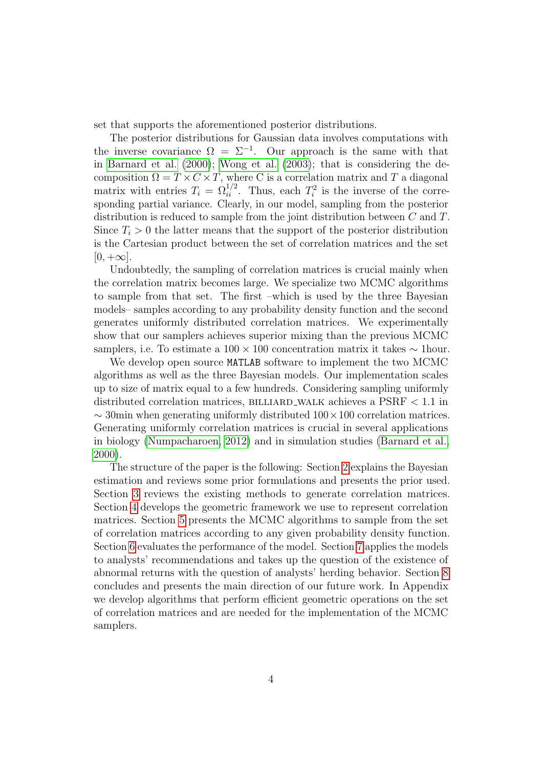set that supports the aforementioned posterior distributions.

The posterior distributions for Gaussian data involves computations with the inverse covariance  $\Omega = \Sigma^{-1}$ . Our approach is the same with that in [Barnard et al.](#page-22-7) [\(2000\)](#page-22-7); [Wong et al.](#page-25-2) [\(2003\)](#page-25-2); that is considering the decomposition  $\Omega = T \times C \times T$ , where C is a correlation matrix and T a diagonal matrix with entries  $T_i = \Omega_{ii}^{1/2}$ . Thus, each  $T_i^2$  is the inverse of the corresponding partial variance. Clearly, in our model, sampling from the posterior distribution is reduced to sample from the joint distribution between C and T. Since  $T<sub>i</sub> > 0$  the latter means that the support of the posterior distribution is the Cartesian product between the set of correlation matrices and the set  $[0, +\infty]$ .

Undoubtedly, the sampling of correlation matrices is crucial mainly when the correlation matrix becomes large. We specialize two MCMC algorithms to sample from that set. The first –which is used by the three Bayesian models– samples according to any probability density function and the second generates uniformly distributed correlation matrices. We experimentally show that our samplers achieves superior mixing than the previous MCMC samplers, i.e. To estimate a  $100 \times 100$  concentration matrix it takes  $\sim$  1hour.

We develop open source MATLAB software to implement the two MCMC algorithms as well as the three Bayesian models. Our implementation scales up to size of matrix equal to a few hundreds. Considering sampling uniformly distributed correlation matrices, BILLIARD WALK achieves a  $PSRF < 1.1$  in  $\sim$  30min when generating uniformly distributed  $100 \times 100$  correlation matrices. Generating uniformly correlation matrices is crucial in several applications in biology [\(Numpacharoen, 2012\)](#page-25-3) and in simulation studies [\(Barnard et al.,](#page-22-7) [2000\)](#page-22-7).

The structure of the paper is the following: Section [2](#page-4-0) explains the Bayesian estimation and reviews some prior formulations and presents the prior used. Section [3](#page-6-0) reviews the existing methods to generate correlation matrices. Section [4](#page-7-0) develops the geometric framework we use to represent correlation matrices. Section [5](#page-9-0) presents the MCMC algorithms to sample from the set of correlation matrices according to any given probability density function. Section [6](#page-12-0) evaluates the performance of the model. Section [7](#page-13-0) applies the models to analysts' recommendations and takes up the question of the existence of abnormal returns with the question of analysts' herding behavior. Section [8](#page-14-0) concludes and presents the main direction of our future work. In Appendix we develop algorithms that perform efficient geometric operations on the set of correlation matrices and are needed for the implementation of the MCMC samplers.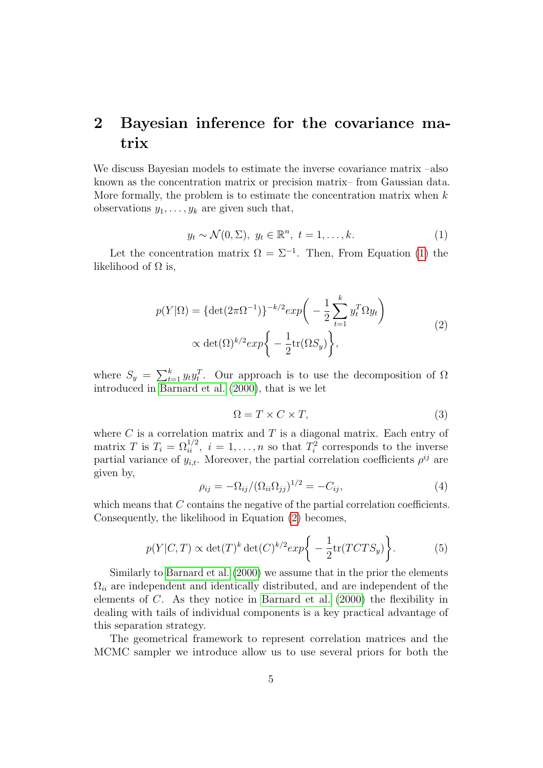## <span id="page-4-0"></span>2 Bayesian inference for the covariance matrix

We discuss Bayesian models to estimate the inverse covariance matrix –also known as the concentration matrix or precision matrix– from Gaussian data. More formally, the problem is to estimate the concentration matrix when  $k$ observations  $y_1, \ldots, y_k$  are given such that,

<span id="page-4-1"></span>
$$
y_t \sim \mathcal{N}(0, \Sigma), \ y_t \in \mathbb{R}^n, \ t = 1, \dots, k. \tag{1}
$$

Let the concentration matrix  $\Omega = \Sigma^{-1}$ . Then, From Equation [\(1\)](#page-4-1) the likelihood of  $\Omega$  is,

$$
p(Y|\Omega) = {\det(2\pi\Omega^{-1})}^{-k/2} exp\left(-\frac{1}{2}\sum_{t=1}^{k} y_t^T \Omega y_t\right)
$$
  
 
$$
\propto \det(\Omega)^{k/2} exp\left\{-\frac{1}{2}\text{tr}(\Omega S_y)\right\},
$$
 (2)

<span id="page-4-2"></span>where  $S_y = \sum_{t=1}^k y_t y_t^T$ . Our approach is to use the decomposition of  $\Omega$ introduced in [Barnard et al.](#page-22-7) [\(2000\)](#page-22-7), that is we let

$$
\Omega = T \times C \times T,\tag{3}
$$

where  $C$  is a correlation matrix and  $T$  is a diagonal matrix. Each entry of matrix T is  $T_i = \Omega_{ii}^{1/2}$ ,  $i = 1, ..., n$  so that  $T_i^2$  corresponds to the inverse partial variance of  $y_{i,t}$ . Moreover, the partial correlation coefficients  $\rho^{ij}$  are given by,

$$
\rho_{ij} = -\Omega_{ij} / (\Omega_{ii} \Omega_{jj})^{1/2} = -C_{ij},\tag{4}
$$

which means that C contains the negative of the partial correlation coefficients. Consequently, the likelihood in Equation [\(2\)](#page-4-2) becomes,

$$
p(Y|C,T) \propto \det(T)^k \det(C)^{k/2} exp\bigg\{-\frac{1}{2}\text{tr}(TCTS_y)\bigg\}.
$$
 (5)

Similarly to [Barnard et al.](#page-22-7) [\(2000\)](#page-22-7) we assume that in the prior the elements  $\Omega_{ii}$  are independent and identically distributed, and are independent of the elements of C. As they notice in [Barnard et al.](#page-22-7) [\(2000\)](#page-22-7) the flexibility in dealing with tails of individual components is a key practical advantage of this separation strategy.

The geometrical framework to represent correlation matrices and the MCMC sampler we introduce allow us to use several priors for both the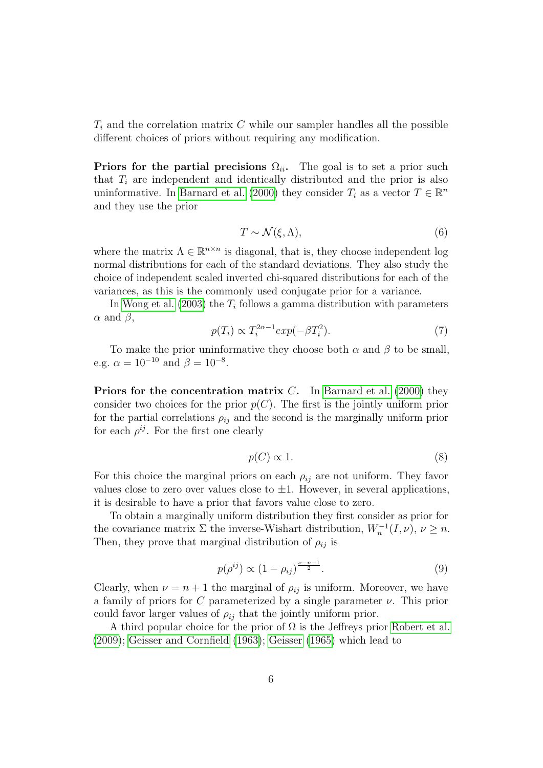$T_i$  and the correlation matrix C while our sampler handles all the possible different choices of priors without requiring any modification.

Priors for the partial precisions  $\Omega_{ii}$ . The goal is to set a prior such that  $T_i$  are independent and identically distributed and the prior is also uninformative. In [Barnard et al.](#page-22-7) [\(2000\)](#page-22-7) they consider  $T_i$  as a vector  $T \in \mathbb{R}^n$ and they use the prior

$$
T \sim \mathcal{N}(\xi, \Lambda),\tag{6}
$$

where the matrix  $\Lambda \in \mathbb{R}^{n \times n}$  is diagonal, that is, they choose independent log normal distributions for each of the standard deviations. They also study the choice of independent scaled inverted chi-squared distributions for each of the variances, as this is the commonly used conjugate prior for a variance.

In [Wong et al.](#page-25-2)  $(2003)$  the  $T_i$  follows a gamma distribution with parameters  $\alpha$  and  $\beta$ ,

$$
p(T_i) \propto T_i^{2\alpha - 1} \exp(-\beta T_i^2). \tag{7}
$$

To make the prior uninformative they choose both  $\alpha$  and  $\beta$  to be small, e.g.  $\alpha = 10^{-10}$  and  $\beta = 10^{-8}$ .

**Priors for the concentration matrix C.** In [Barnard et al.](#page-22-7) [\(2000\)](#page-22-7) they consider two choices for the prior  $p(C)$ . The first is the jointly uniform prior for the partial correlations  $\rho_{ij}$  and the second is the marginally uniform prior for each  $\rho^{ij}$ . For the first one clearly

$$
p(C) \propto 1. \tag{8}
$$

For this choice the marginal priors on each  $\rho_{ij}$  are not uniform. They favor values close to zero over values close to  $\pm 1$ . However, in several applications, it is desirable to have a prior that favors value close to zero.

To obtain a marginally uniform distribution they first consider as prior for the covariance matrix  $\Sigma$  the inverse-Wishart distribution,  $W_n^{-1}(I,\nu)$ ,  $\nu \geq n$ . Then, they prove that marginal distribution of  $\rho_{ij}$  is

$$
p(\rho^{ij}) \propto (1 - \rho_{ij})^{\frac{\nu - n - 1}{2}}.
$$
\n(9)

Clearly, when  $\nu = n + 1$  the marginal of  $\rho_{ij}$  is uniform. Moreover, we have a family of priors for C parameterized by a single parameter  $\nu$ . This prior could favor larger values of  $\rho_{ij}$  that the jointly uniform prior.

A third popular choice for the prior of  $\Omega$  is the Jeffreys prior [Robert et al.](#page-25-4) [\(2009\)](#page-25-4); [Geisser and Cornfield](#page-24-4) [\(1963\)](#page-24-4); [Geisser](#page-24-5) [\(1965\)](#page-24-5) which lead to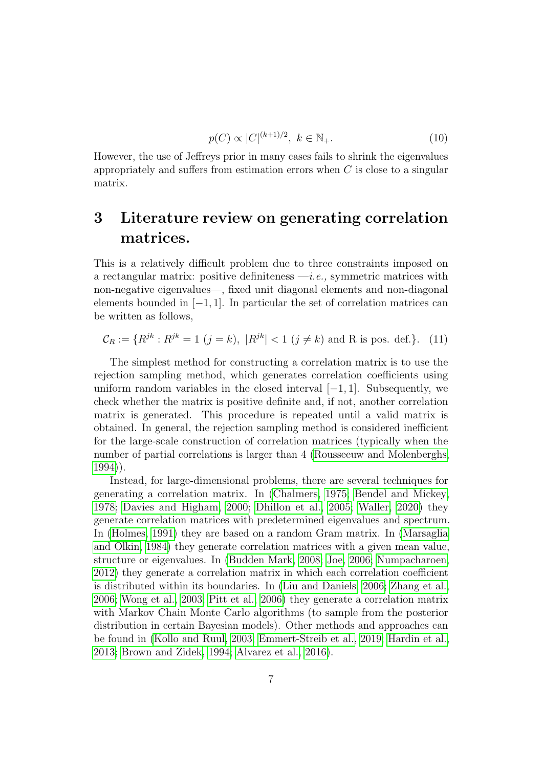$$
p(C) \propto |C|^{(k+1)/2}, \ k \in \mathbb{N}_+.
$$
 (10)

However, the use of Jeffreys prior in many cases fails to shrink the eigenvalues appropriately and suffers from estimation errors when  $C$  is close to a singular matrix.

## <span id="page-6-0"></span>3 Literature review on generating correlation matrices.

This is a relatively difficult problem due to three constraints imposed on a rectangular matrix: positive definiteness  $-i.e.,$  symmetric matrices with non-negative eigenvalues—, fixed unit diagonal elements and non-diagonal elements bounded in  $[-1, 1]$ . In particular the set of correlation matrices can be written as follows,

$$
\mathcal{C}_R := \{ R^{jk} : R^{jk} = 1 \ (j = k), \ |R^{jk}| < 1 \ (j \neq k) \text{ and R is pos. def.} \}.
$$
 (11)

The simplest method for constructing a correlation matrix is to use the rejection sampling method, which generates correlation coefficients using uniform random variables in the closed interval  $[-1, 1]$ . Subsequently, we check whether the matrix is positive definite and, if not, another correlation matrix is generated. This procedure is repeated until a valid matrix is obtained. In general, the rejection sampling method is considered inefficient for the large-scale construction of correlation matrices (typically when the number of partial correlations is larger than 4 [\(Rousseeuw and Molenberghs,](#page-25-5) [1994\)](#page-25-5)).

Instead, for large-dimensional problems, there are several techniques for generating a correlation matrix. In [\(Chalmers, 1975;](#page-23-5) [Bendel and Mickey,](#page-22-8) [1978;](#page-22-8) [Davies and Higham, 2000;](#page-23-6) [Dhillon et al., 2005;](#page-23-7) [Waller, 2020\)](#page-25-6) they generate correlation matrices with predetermined eigenvalues and spectrum. In [\(Holmes, 1991\)](#page-24-6) they are based on a random Gram matrix. In [\(Marsaglia](#page-25-7) [and Olkin, 1984\)](#page-25-7) they generate correlation matrices with a given mean value, structure or eigenvalues. In [\(Budden Mark, 2008;](#page-23-8) [Joe, 2006;](#page-24-7) [Numpacharoen,](#page-25-3) [2012\)](#page-25-3) they generate a correlation matrix in which each correlation coefficient is distributed within its boundaries. In [\(Liu and Daniels, 2006;](#page-25-8) [Zhang et al.,](#page-26-0) [2006;](#page-26-0) [Wong et al., 2003;](#page-25-2) [Pitt et al., 2006\)](#page-25-9) they generate a correlation matrix with Markov Chain Monte Carlo algorithms (to sample from the posterior distribution in certain Bayesian models). Other methods and approaches can be found in [\(Kollo and Ruul, 2003;](#page-25-10) [Emmert-Streib et al., 2019;](#page-24-8) [Hardin et al.,](#page-24-9) [2013;](#page-24-9) [Brown and Zidek, 1994;](#page-23-9) [Alvarez et al., 2016\)](#page-22-9).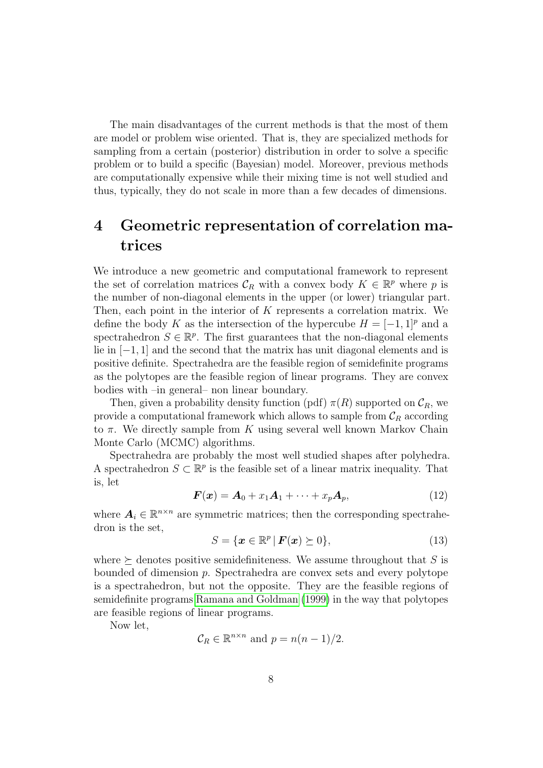The main disadvantages of the current methods is that the most of them are model or problem wise oriented. That is, they are specialized methods for sampling from a certain (posterior) distribution in order to solve a specific problem or to build a specific (Bayesian) model. Moreover, previous methods are computationally expensive while their mixing time is not well studied and thus, typically, they do not scale in more than a few decades of dimensions.

## <span id="page-7-0"></span>4 Geometric representation of correlation matrices

We introduce a new geometric and computational framework to represent the set of correlation matrices  $\mathcal{C}_R$  with a convex body  $K \in \mathbb{R}^p$  where p is the number of non-diagonal elements in the upper (or lower) triangular part. Then, each point in the interior of  $K$  represents a correlation matrix. We define the body K as the intersection of the hypercube  $H = [-1, 1]^p$  and a spectrahedron  $S \in \mathbb{R}^p$ . The first guarantees that the non-diagonal elements lie in [−1, 1] and the second that the matrix has unit diagonal elements and is positive definite. Spectrahedra are the feasible region of semidefinite programs as the polytopes are the feasible region of linear programs. They are convex bodies with –in general– non linear boundary.

Then, given a probability density function (pdf)  $\pi(R)$  supported on  $\mathcal{C}_R$ , we provide a computational framework which allows to sample from  $\mathcal{C}_R$  according to  $\pi$ . We directly sample from K using several well known Markov Chain Monte Carlo (MCMC) algorithms.

Spectrahedra are probably the most well studied shapes after polyhedra. A spectrahedron  $S \subset \mathbb{R}^p$  is the feasible set of a linear matrix inequality. That is, let

<span id="page-7-1"></span>
$$
\boldsymbol{F}(\boldsymbol{x}) = \boldsymbol{A}_0 + x_1 \boldsymbol{A}_1 + \dots + x_p \boldsymbol{A}_p,\tag{12}
$$

where  $A_i \in \mathbb{R}^{n \times n}$  are symmetric matrices; then the corresponding spectrahedron is the set,

$$
S = \{ \boldsymbol{x} \in \mathbb{R}^p \, | \, \boldsymbol{F}(\boldsymbol{x}) \succeq 0 \},\tag{13}
$$

where  $\succeq$  denotes positive semidefiniteness. We assume throughout that S is bounded of dimension p. Spectrahedra are convex sets and every polytope is a spectrahedron, but not the opposite. They are the feasible regions of semidefinite programs [Ramana and Goldman](#page-25-11) [\(1999\)](#page-25-11) in the way that polytopes are feasible regions of linear programs.

Now let,

$$
C_R \in \mathbb{R}^{n \times n}
$$
 and  $p = n(n-1)/2$ .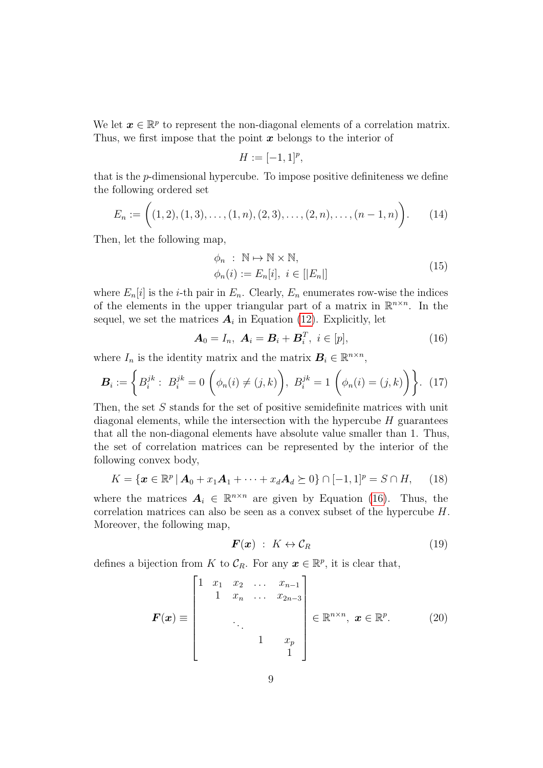We let  $x \in \mathbb{R}^p$  to represent the non-diagonal elements of a correlation matrix. Thus, we first impose that the point  $x$  belongs to the interior of

$$
H := [-1,1]^p,
$$

that is the p-dimensional hypercube. To impose positive definiteness we define the following ordered set

$$
E_n := \bigg( (1,2), (1,3), \dots, (1,n), (2,3), \dots, (2,n), \dots, (n-1,n) \bigg). \tag{14}
$$

Then, let the following map,

$$
\phi_n : \mathbb{N} \to \mathbb{N} \times \mathbb{N},
$$
  
\n
$$
\phi_n(i) := E_n[i], \ i \in [|E_n|]
$$
\n(15)

where  $E_n[i]$  is the *i*-th pair in  $E_n$ . Clearly,  $E_n$  enumerates row-wise the indices of the elements in the upper triangular part of a matrix in  $\mathbb{R}^{n \times n}$ . In the sequel, we set the matrices  $A_i$  in Equation [\(12\)](#page-7-1). Explicitly, let

<span id="page-8-0"></span>
$$
\mathbf{A}_0 = I_n, \ \mathbf{A}_i = \mathbf{B}_i + \mathbf{B}_i^T, \ i \in [p], \tag{16}
$$

where  $I_n$  is the identity matrix and the matrix  $B_i \in \mathbb{R}^{n \times n}$ ,

$$
\boldsymbol{B}_{i} := \left\{ B_{i}^{jk} : B_{i}^{jk} = 0 \left( \phi_{n}(i) \neq (j, k) \right), B_{i}^{jk} = 1 \left( \phi_{n}(i) = (j, k) \right) \right\}. (17)
$$

Then, the set S stands for the set of positive semidefinite matrices with unit diagonal elements, while the intersection with the hypercube  $H$  guarantees that all the non-diagonal elements have absolute value smaller than 1. Thus, the set of correlation matrices can be represented by the interior of the following convex body,

<span id="page-8-1"></span>
$$
K = \{ \boldsymbol{x} \in \mathbb{R}^p \, | \, \boldsymbol{A}_0 + x_1 \boldsymbol{A}_1 + \dots + x_d \boldsymbol{A}_d \succeq 0 \} \cap [-1,1]^p = S \cap H, \qquad (18)
$$

where the matrices  $A_i \in \mathbb{R}^{n \times n}$  are given by Equation [\(16\)](#page-8-0). Thus, the correlation matrices can also be seen as a convex subset of the hypercube H. Moreover, the following map,

$$
\boldsymbol{F}(\boldsymbol{x}) \; : \; K \leftrightarrow \mathcal{C}_R \tag{19}
$$

defines a bijection from K to  $\mathcal{C}_R$ . For any  $\boldsymbol{x} \in \mathbb{R}^p$ , it is clear that,

$$
\boldsymbol{F}(\boldsymbol{x}) \equiv \begin{bmatrix} 1 & x_1 & x_2 & \dots & x_{n-1} \\ 1 & x_n & \dots & x_{2n-3} \\ & & \ddots & \\ & & & 1 & x_p \\ & & & & 1 \end{bmatrix} \in \mathbb{R}^{n \times n}, \ \boldsymbol{x} \in \mathbb{R}^p. \tag{20}
$$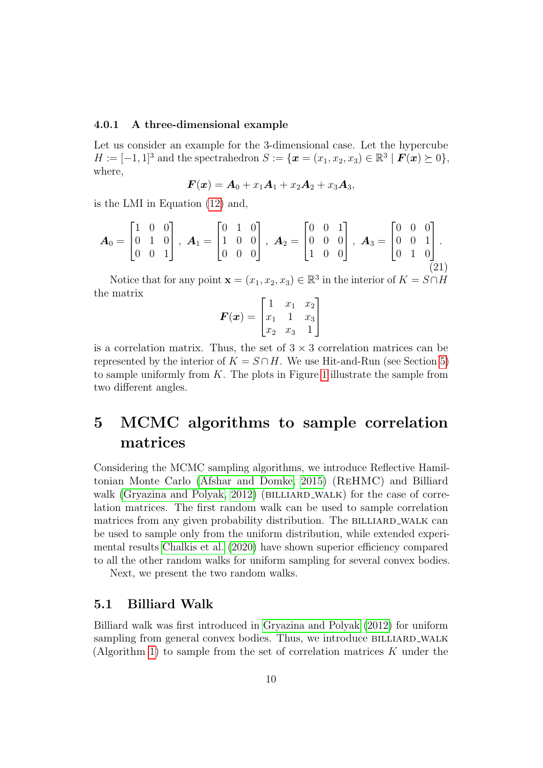#### <span id="page-9-1"></span>4.0.1 A three-dimensional example

Let us consider an example for the 3-dimensional case. Let the hypercube  $H := [-1,1]^3$  and the spectrahedron  $S := \{ \boldsymbol{x} = (x_1, x_2, x_3) \in \mathbb{R}^3 \mid \boldsymbol{F}(\boldsymbol{x}) \succeq 0 \},$ where,

$$
\boldsymbol{F}(\boldsymbol{x}) = \boldsymbol{A}_0 + x_1\boldsymbol{A}_1 + x_2\boldsymbol{A}_2 + x_3\boldsymbol{A}_3,
$$

is the LMI in Equation [\(12\)](#page-7-1) and,

$$
\boldsymbol{A}_0 = \begin{bmatrix} 1 & 0 & 0 \\ 0 & 1 & 0 \\ 0 & 0 & 1 \end{bmatrix}, \ \boldsymbol{A}_1 = \begin{bmatrix} 0 & 1 & 0 \\ 1 & 0 & 0 \\ 0 & 0 & 0 \end{bmatrix}, \ \boldsymbol{A}_2 = \begin{bmatrix} 0 & 0 & 1 \\ 0 & 0 & 0 \\ 1 & 0 & 0 \end{bmatrix}, \ \boldsymbol{A}_3 = \begin{bmatrix} 0 & 0 & 0 \\ 0 & 0 & 1 \\ 0 & 1 & 0 \end{bmatrix}.
$$
 (21)

Notice that for any point  $\mathbf{x} = (x_1, x_2, x_3) \in \mathbb{R}^3$  in the interior of  $K = S \cap H$ the matrix

$$
\boldsymbol{F}(\boldsymbol{x}) = \begin{bmatrix} 1 & x_1 & x_2 \\ x_1 & 1 & x_3 \\ x_2 & x_3 & 1 \end{bmatrix}
$$

is a correlation matrix. Thus, the set of  $3 \times 3$  correlation matrices can be represented by the interior of  $K = S \cap H$ . We use Hit-and-Run (see Section [5\)](#page-9-0) to sample uniformly from  $K$ . The plots in Figure [1](#page-15-0) illustrate the sample from two different angles.

## <span id="page-9-0"></span>5 MCMC algorithms to sample correlation matrices

Considering the MCMC sampling algorithms, we introduce Reflective Hamiltonian Monte Carlo [\(Afshar and Domke, 2015\)](#page-22-10) (ReHMC) and Billiard walk [\(Gryazina and Polyak, 2012\)](#page-24-10) (BILLIARD\_WALK) for the case of correlation matrices. The first random walk can be used to sample correlation matrices from any given probability distribution. The BILLIARD\_WALK can be used to sample only from the uniform distribution, while extended experimental results [Chalkis et al.](#page-23-10) [\(2020\)](#page-23-10) have shown superior efficiency compared to all the other random walks for uniform sampling for several convex bodies.

Next, we present the two random walks.

#### 5.1 Billiard Walk

Billiard walk was first introduced in [Gryazina and Polyak](#page-24-10) [\(2012\)](#page-24-10) for uniform sampling from general convex bodies. Thus, we introduce BILLIARD\_WALK (Algorithm [1\)](#page-10-0) to sample from the set of correlation matrices K under the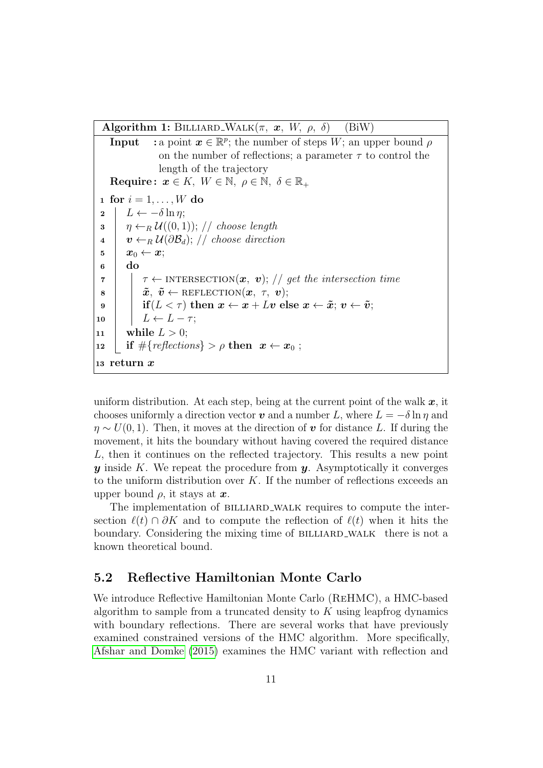Algorithm 1: BILLIARD\_WALK $(\pi, x, W, \rho, \delta)$  (BiW)

<span id="page-10-0"></span>**Input** : a point  $x \in \mathbb{R}^p$ ; the number of steps W; an upper bound  $\rho$ on the number of reflections; a parameter  $\tau$  to control the length of the trajectory Require:  $x \in K$ ,  $W \in \mathbb{N}$ ,  $\rho \in \mathbb{N}$ ,  $\delta \in \mathbb{R}_+$ 1 for  $i = 1, \ldots, W$  do  $2 \mid L \leftarrow -\delta \ln \eta;$  $\mathbf{3} \mid \eta \leftarrow_R \mathcal{U}((0,1)); // choose length$  $\mathbf{u} \mid \mathbf{v} \leftarrow_R \mathcal{U}(\partial \mathcal{B}_d); \text{ // choose direction}$  $\quad \ \ \, {\bf 5} \quad \ \ \, {\bf x}_0 \leftarrow {\bf x};$  $6$  do  $\tau$  |  $\tau \leftarrow$  INTERSECTION $(x, v)$ ; // get the intersection time  $\boldsymbol{s}$  |  $\tilde{\boldsymbol{x}}, \ \tilde{\boldsymbol{v}} \leftarrow \text{REFLECTION}(\boldsymbol{x}, \ \tau, \ \boldsymbol{v});$ 9 if  $(L < \tau)$  then  $x \leftarrow x + Lv$  else  $x \leftarrow \tilde{x}$ ;  $v \leftarrow \tilde{v}$ ; 10  $\mid L \leftarrow L - \tau;$ 11 while  $L > 0$ ; 12 if  $\#\{reflections\} > \rho \text{ then } x \leftarrow x_0;$ <sup>13</sup> return x

uniform distribution. At each step, being at the current point of the walk  $x$ , it chooses uniformly a direction vector v and a number L, where  $L = -\delta \ln \eta$  and  $\eta \sim U(0, 1)$ . Then, it moves at the direction of v for distance L. If during the movement, it hits the boundary without having covered the required distance L, then it continues on the reflected trajectory. This results a new point  $y$  inside K. We repeat the procedure from  $y$ . Asymptotically it converges to the uniform distribution over  $K$ . If the number of reflections exceeds an upper bound  $\rho$ , it stays at  $\boldsymbol{x}$ .

The implementation of BILLIARD\_WALK requires to compute the intersection  $\ell(t) \cap \partial K$  and to compute the reflection of  $\ell(t)$  when it hits the boundary. Considering the mixing time of BILLIARD\_WALK there is not a known theoretical bound.

### 5.2 Reflective Hamiltonian Monte Carlo

We introduce Reflective Hamiltonian Monte Carlo (ReHMC), a HMC-based algorithm to sample from a truncated density to  $K$  using leapfrog dynamics with boundary reflections. There are several works that have previously examined constrained versions of the HMC algorithm. More specifically, [Afshar and Domke](#page-22-10) [\(2015\)](#page-22-10) examines the HMC variant with reflection and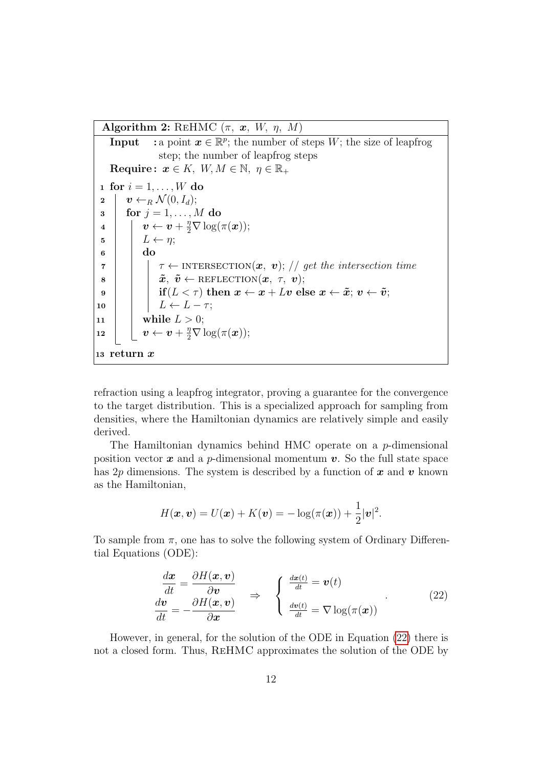Algorithm 2: REHMC  $(\pi, x, W, \eta, M)$ 

**Input** : a point  $x \in \mathbb{R}^p$ ; the number of steps W; the size of leapfrog step; the number of leapfrog steps Require:  $x \in K$ ,  $W, M \in \mathbb{N}$ ,  $\eta \in \mathbb{R}_+$ 1 for  $i = 1, \ldots, W$  do 2  $\vert v \leftarrow_R \mathcal{N}(0, I_d);$  $\mathbf{s} \mid \text{for } j = 1, \ldots, M \text{ do}$  $\begin{array}{lll} \textbf{4} & \Big| & \textbf{\textit{v}} \leftarrow \textbf{\textit{v}} + \frac{\eta}{2} \nabla \log(\pi(\boldsymbol{x})); \end{array}$  $5 \mid L \leftarrow \eta;$  $6 \mid \cdot \mid$  do  $\tau$  |  $\tau \leftarrow$  INTERSECTION $(x, v)$ ; // get the intersection time  $\delta$  |  $\bar{x}, \tilde{v} \leftarrow \text{REFLECTION}(\bm{x}, \tau, \bm{v});$  $\mathbf{9}$  if  $(L < \tau)$  then  $\mathbf{x} \leftarrow \mathbf{x} + L\mathbf{v}$  else  $\mathbf{x} \leftarrow \tilde{\mathbf{x}}$ ;  $\mathbf{v} \leftarrow \tilde{\mathbf{v}}$ ; 10  $\vert \vert \vert L \leftarrow L - \tau;$ 11 | while  $L > 0$ ;  $\boxed{\mathbf{u}\cdot\mathbf{v}\leftarrow\mathbf{v}+\frac{\eta}{2}\nabla\log(\pi(\boldsymbol{x}));}$ <sup>13</sup> return x

refraction using a leapfrog integrator, proving a guarantee for the convergence to the target distribution. This is a specialized approach for sampling from densities, where the Hamiltonian dynamics are relatively simple and easily derived.

The Hamiltonian dynamics behind HMC operate on a p-dimensional position vector  $x$  and a p-dimensional momentum  $v$ . So the full state space has 2p dimensions. The system is described by a function of  $x$  and  $v$  known as the Hamiltonian,

$$
H(\boldsymbol{x},\boldsymbol{v})=U(\boldsymbol{x})+K(\boldsymbol{v})=-\log(\pi(\boldsymbol{x}))+\frac{1}{2}|\boldsymbol{v}|^2.
$$

To sample from  $\pi$ , one has to solve the following system of Ordinary Differential Equations (ODE):

$$
\begin{aligned}\n\frac{d\mathbf{x}}{dt} &= \frac{\partial H(\mathbf{x}, \mathbf{v})}{\partial \mathbf{v}} \\
\frac{d\mathbf{v}}{dt} &= -\frac{\partial H(\mathbf{x}, \mathbf{v})}{\partial \mathbf{x}}\n\end{aligned}\n\Rightarrow\n\begin{cases}\n\frac{d\mathbf{x}(t)}{dt} = \mathbf{v}(t) \\
\frac{d\mathbf{v}(t)}{dt} = \nabla \log(\pi(\mathbf{x}))\n\end{cases}
$$
\n(22)

<span id="page-11-0"></span>However, in general, for the solution of the ODE in Equation [\(22\)](#page-11-0) there is not a closed form. Thus, ReHMC approximates the solution of the ODE by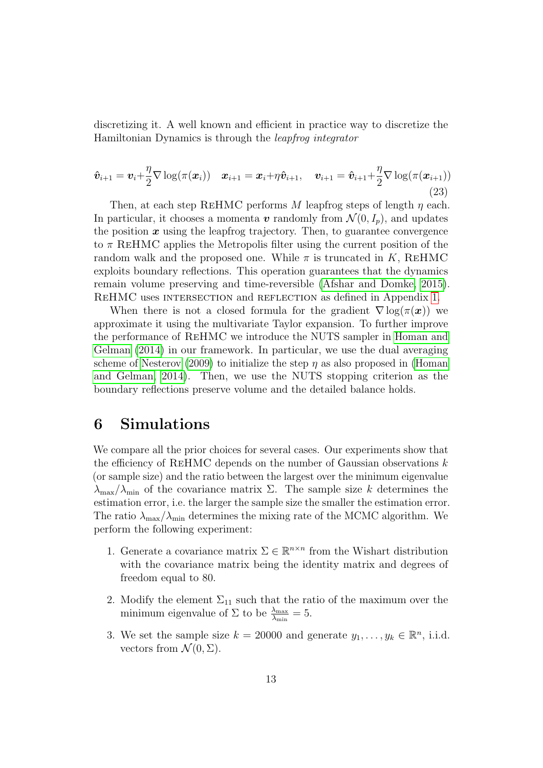discretizing it. A well known and efficient in practice way to discretize the Hamiltonian Dynamics is through the leapfrog integrator

$$
\hat{\boldsymbol{v}}_{i+1} = \boldsymbol{v}_i + \frac{\eta}{2} \nabla \log(\pi(\boldsymbol{x}_i)) \quad \boldsymbol{x}_{i+1} = \boldsymbol{x}_i + \eta \hat{\boldsymbol{v}}_{i+1}, \quad \boldsymbol{v}_{i+1} = \hat{\boldsymbol{v}}_{i+1} + \frac{\eta}{2} \nabla \log(\pi(\boldsymbol{x}_{i+1}))
$$
\n(23)

Then, at each step REHMC performs M leapfrog steps of length  $\eta$  each. In particular, it chooses a momenta v randomly from  $\mathcal{N}(0, I_p)$ , and updates the position  $x$  using the leapfrog trajectory. Then, to guarantee convergence to  $\pi$  REHMC applies the Metropolis filter using the current position of the random walk and the proposed one. While  $\pi$  is truncated in K, REHMC exploits boundary reflections. This operation guarantees that the dynamics remain volume preserving and time-reversible [\(Afshar and Domke, 2015\)](#page-22-10). REHMC uses INTERSECTION and REFLECTION as defined in Appendix [1.](#page-0-0)

When there is not a closed formula for the gradient  $\nabla \log(\pi(\boldsymbol{x}))$  we approximate it using the multivariate Taylor expansion. To further improve the performance of ReHMC we introduce the NUTS sampler in [Homan and](#page-24-11) [Gelman](#page-24-11) [\(2014\)](#page-24-11) in our framework. In particular, we use the dual averaging scheme of [Nesterov](#page-25-12) [\(2009\)](#page-25-12) to initialize the step  $\eta$  as also proposed in [\(Homan](#page-24-11) [and Gelman, 2014\)](#page-24-11). Then, we use the NUTS stopping criterion as the boundary reflections preserve volume and the detailed balance holds.

### <span id="page-12-0"></span>6 Simulations

We compare all the prior choices for several cases. Our experiments show that the efficiency of REHMC depends on the number of Gaussian observations  $k$ (or sample size) and the ratio between the largest over the minimum eigenvalue  $\lambda_{\text{max}}/\lambda_{\text{min}}$  of the covariance matrix  $\Sigma$ . The sample size k determines the estimation error, i.e. the larger the sample size the smaller the estimation error. The ratio  $\lambda_{\text{max}}/\lambda_{\text{min}}$  determines the mixing rate of the MCMC algorithm. We perform the following experiment:

- 1. Generate a covariance matrix  $\Sigma \in \mathbb{R}^{n \times n}$  from the Wishart distribution with the covariance matrix being the identity matrix and degrees of freedom equal to 80.
- 2. Modify the element  $\Sigma_{11}$  such that the ratio of the maximum over the minimum eigenvalue of  $\Sigma$  to be  $\frac{\lambda_{\text{max}}}{\lambda_{\text{min}}} = 5$ .
- 3. We set the sample size  $k = 20000$  and generate  $y_1, \ldots, y_k \in \mathbb{R}^n$ , i.i.d. vectors from  $\mathcal{N}(0, \Sigma)$ .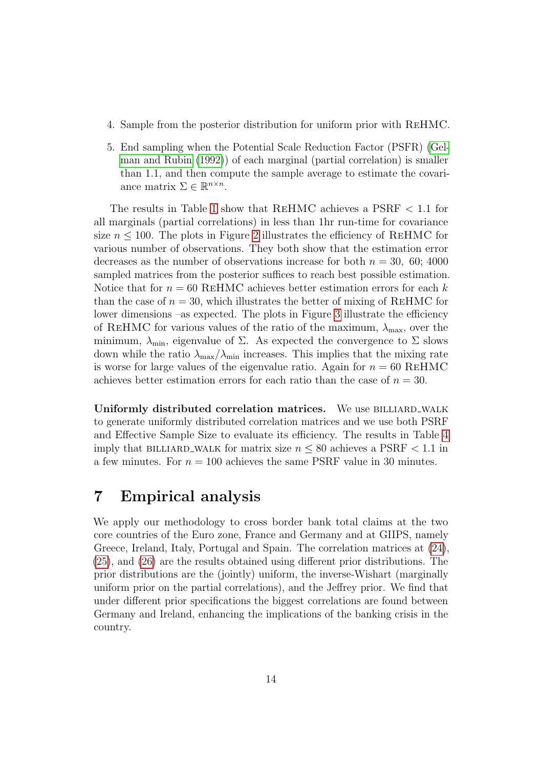- 4. Sample from the posterior distribution for uniform prior with ReHMC.
- 5. End sampling when the Potential Scale Reduction Factor (PSFR) [\(Gel](#page-24-12)[man and Rubin](#page-24-12) [\(1992\)](#page-24-12)) of each marginal (partial correlation) is smaller than 1.1, and then compute the sample average to estimate the covariance matrix  $\Sigma \in \mathbb{R}^{n \times n}$ .

The results in Table [1](#page-18-0) show that ReHMC achieves a PSRF < 1.1 for all marginals (partial correlations) in less than 1hr run-time for covariance size  $n \leq 100$ . The plots in Figure [2](#page-16-0) illustrates the efficiency of REHMC for various number of observations. They both show that the estimation error decreases as the number of observations increase for both  $n = 30, 60; 4000$ sampled matrices from the posterior suffices to reach best possible estimation. Notice that for  $n = 60$  REHMC achieves better estimation errors for each k than the case of  $n = 30$ , which illustrates the better of mixing of REHMC for lower dimensions –as expected. The plots in Figure [3](#page-17-0) illustrate the efficiency of REHMC for various values of the ratio of the maximum,  $\lambda_{\text{max}}$ , over the minimum,  $\lambda_{\min}$ , eigenvalue of  $\Sigma$ . As expected the convergence to  $\Sigma$  slows down while the ratio  $\lambda_{\text{max}}/\lambda_{\text{min}}$  increases. This implies that the mixing rate is worse for large values of the eigenvalue ratio. Again for  $n = 60$  REHMC achieves better estimation errors for each ratio than the case of  $n = 30$ .

Uniformly distributed correlation matrices. We use BILLIARD\_WALK to generate uniformly distributed correlation matrices and we use both PSRF and Effective Sample Size to evaluate its efficiency. The results in Table [4](#page-21-0) imply that BILLIARD\_WALK for matrix size  $n \leq 80$  achieves a PSRF  $< 1.1$  in a few minutes. For  $n = 100$  achieves the same PSRF value in 30 minutes.

### <span id="page-13-0"></span>7 Empirical analysis

We apply our methodology to cross border bank total claims at the two core countries of the Euro zone, France and Germany and at GIIPS, namely Greece, Ireland, Italy, Portugal and Spain. The correlation matrices at [\(24\)](#page-14-1), [\(25\)](#page-14-2), and [\(26\)](#page-14-3) are the results obtained using different prior distributions. The prior distributions are the (jointly) uniform, the inverse-Wishart (marginally uniform prior on the partial correlations), and the Jeffrey prior. We find that under different prior specifications the biggest correlations are found between Germany and Ireland, enhancing the implications of the banking crisis in the country.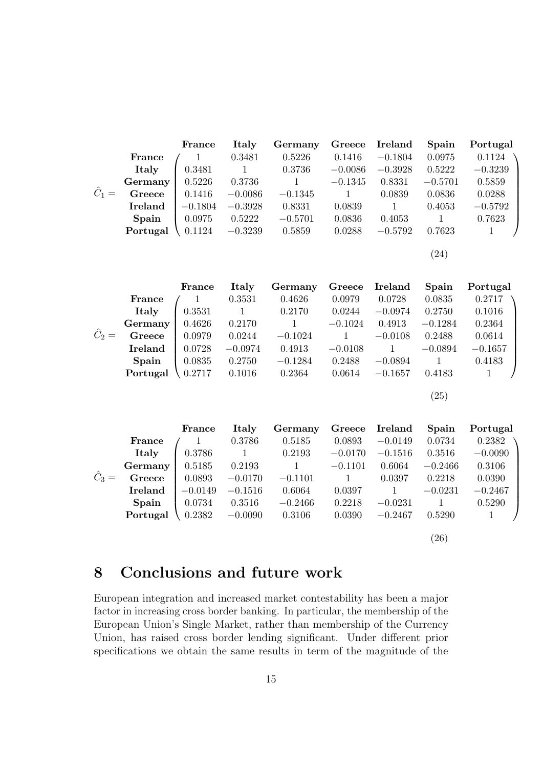<span id="page-14-1"></span>

|               |          | France    | Italy     | Germany   | Greece    | <b>Ireland</b> | Spain     | Portugal  |
|---------------|----------|-----------|-----------|-----------|-----------|----------------|-----------|-----------|
|               | France   |           | 0.3481    | 0.5226    | 0.1416    | $-0.1804$      | 0.0975    | 0.1124    |
|               | Italy    | 0.3481    |           | 0.3736    | $-0.0086$ | $-0.3928$      | 0.5222    | $-0.3239$ |
|               | Germany  | 0.5226    | 0.3736    |           | $-0.1345$ | 0.8331         | $-0.5701$ | 0.5859    |
| $\hat{C}_1 =$ | Greece   | 0.1416    | $-0.0086$ | $-0.1345$ |           | 0.0839         | 0.0836    | 0.0288    |
|               | Ireland  | $-0.1804$ | $-0.3928$ | 0.8331    | 0.0839    |                | 0.4053    | $-0.5792$ |
|               | Spain    | 0.0975    | 0.5222    | $-0.5701$ | 0.0836    | 0.4053         |           | 0.7623    |
|               | Portugal | 0.1124    | $-0.3239$ | 0.5859    | 0.0288    | $-0.5792$      | 0.7623    |           |
|               |          |           |           |           |           |                | (24)      |           |

<span id="page-14-2"></span>

|               |                | France | Italy     | Germany   | Greece    | <b>Ireland</b> | Spain         | Portugal  |
|---------------|----------------|--------|-----------|-----------|-----------|----------------|---------------|-----------|
|               | France         |        | 0.3531    | 0.4626    | 0.0979    | 0.0728         | 0.0835        | 0.2717    |
|               | Italy          | 0.3531 |           | 0.2170    | 0.0244    | $-0.0974$      | 0.2750        | 0.1016    |
|               | Germany        | 0.4626 | 0.2170    |           | $-0.1024$ | 0.4913         | $-0.1284$     | 0.2364    |
| $\hat{C}_2 =$ | Greece         | 0.0979 | 0.0244    | $-0.1024$ |           | $-0.0108$      | 0.2488        | 0.0614    |
|               | <b>Ireland</b> | 0.0728 | $-0.0974$ | 0.4913    | $-0.0108$ |                | $-0.0894$     | $-0.1657$ |
|               | Spain          | 0.0835 | 0.2750    | $-0.1284$ | 0.2488    | $-0.0894$      |               | 0.4183    |
|               | Portugal       | 0.2717 | 0.1016    | 0.2364    | 0.0614    | $-0.1657$      | 0.4183        |           |
|               |                |        |           |           |           |                |               |           |
|               |                |        |           |           |           |                | $^{\prime}25$ |           |

<span id="page-14-3"></span>

|               |                | France    | Italy     | Germany   | Greece    | <b>Ireland</b> | Spain     | Portugal  |
|---------------|----------------|-----------|-----------|-----------|-----------|----------------|-----------|-----------|
|               | France         |           | 0.3786    | 0.5185    | 0.0893    | $-0.0149$      | 0.0734    | 0.2382    |
|               | Italy          | 0.3786    |           | 0.2193    | $-0.0170$ | $-0.1516$      | 0.3516    | $-0.0090$ |
|               | Germany        | 0.5185    | 0.2193    |           | $-0.1101$ | 0.6064         | $-0.2466$ | 0.3106    |
| $\hat{C}_3 =$ | Greece         | 0.0893    | $-0.0170$ | $-0.1101$ |           | 0.0397         | 0.2218    | 0.0390    |
|               | <b>Ireland</b> | $-0.0149$ | $-0.1516$ | 0.6064    | 0.0397    |                | $-0.0231$ | $-0.2467$ |
|               | Spain          | 0.0734    | 0.3516    | $-0.2466$ | 0.2218    | $-0.0231$      |           | 0.5290    |
|               | Portugal       | 0.2382    | $-0.0090$ | 0.3106    | 0.0390    | $-0.2467$      | 0.5290    |           |
|               |                |           |           |           |           |                |           |           |

(26)

## <span id="page-14-0"></span>8 Conclusions and future work

European integration and increased market contestability has been a major factor in increasing cross border banking. In particular, the membership of the European Union's Single Market, rather than membership of the Currency Union, has raised cross border lending significant. Under different prior specifications we obtain the same results in term of the magnitude of the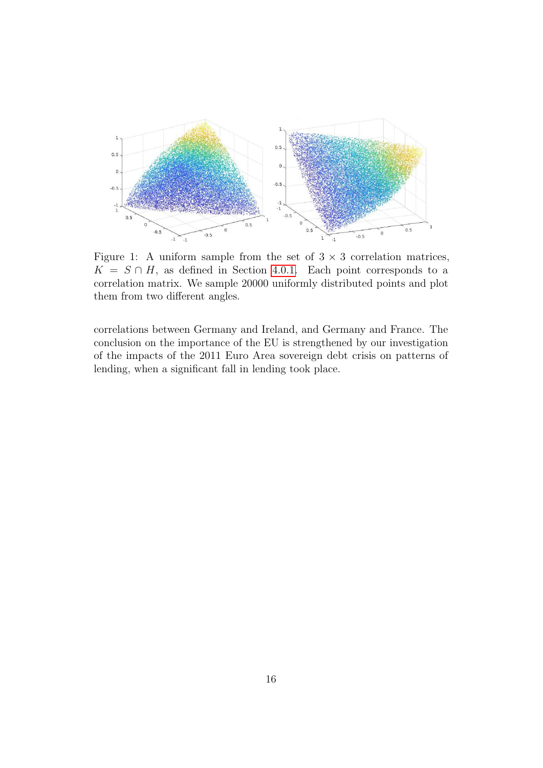<span id="page-15-0"></span>

Figure 1: A uniform sample from the set of  $3 \times 3$  correlation matrices,  $K = S \cap H$ , as defined in Section [4.0.1.](#page-9-1) Each point corresponds to a correlation matrix. We sample 20000 uniformly distributed points and plot them from two different angles.

correlations between Germany and Ireland, and Germany and France. The conclusion on the importance of the EU is strengthened by our investigation of the impacts of the 2011 Euro Area sovereign debt crisis on patterns of lending, when a significant fall in lending took place.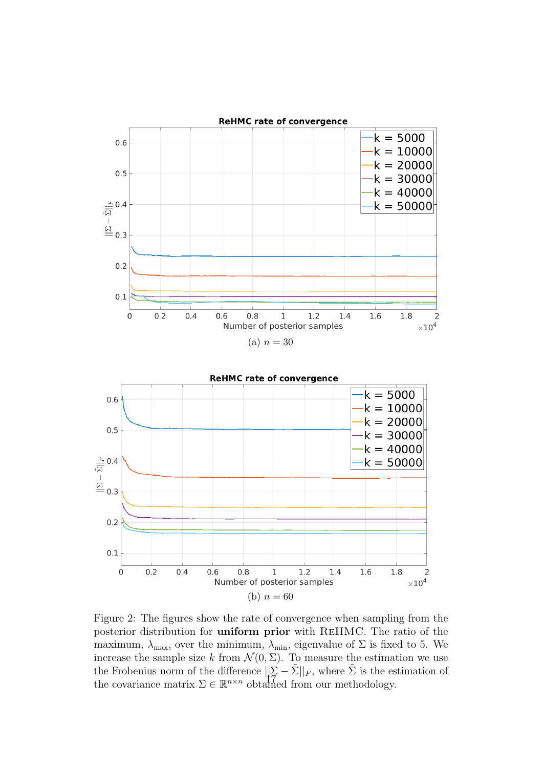<span id="page-16-0"></span>



Figure 2: The figures show the rate of convergence when sampling from the posterior distribution for uniform prior with ReHMC. The ratio of the maximum,  $\lambda_{\text{max}}$ , over the minimum,  $\lambda_{\text{min}}$ , eigenvalue of  $\Sigma$  is fixed to 5. We increase the sample size k from  $\mathcal{N}(0, \Sigma)$ . To measure the estimation we use the Frobenius norm of the difference  $\|\Sigma - \tilde{\Sigma}\|_F$ , where  $\tilde{\Sigma}$  is the estimation of the covariance matrix  $\Sigma \in \mathbb{R}^{n \times n}$  obtained from our methodology.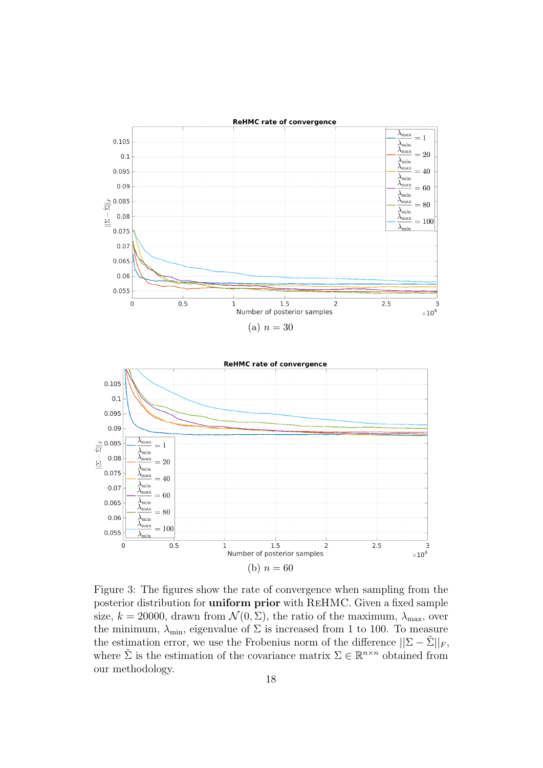<span id="page-17-0"></span>

Figure 3: The figures show the rate of convergence when sampling from the posterior distribution for uniform prior with ReHMC. Given a fixed sample size,  $k = 20000$ , drawn from  $\mathcal{N}(0, \Sigma)$ , the ratio of the maximum,  $\lambda_{\text{max}}$ , over the minimum,  $\lambda_{\min}$ , eigenvalue of  $\Sigma$  is increased from 1 to 100. To measure the estimation error, we use the Frobenius norm of the difference  $||\Sigma - \tilde{\Sigma}||_F$ , where  $\tilde{\Sigma}$  is the estimation of the covariance matrix  $\Sigma \in \mathbb{R}^{n \times n}$  obtained from our methodology.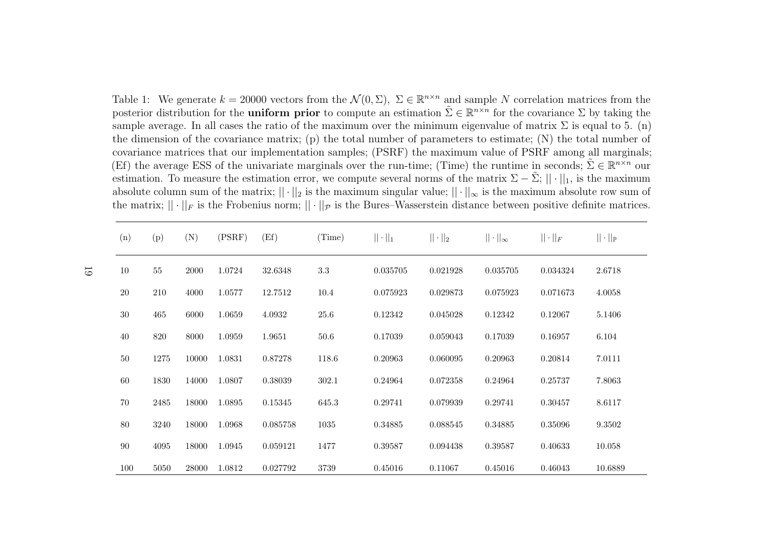<span id="page-18-1"></span>Table 1: We generate  $k = 20000$  vectors from the  $\mathcal{N}(0, \Sigma)$ ,  $\Sigma \in \mathbb{R}^{n \times n}$  and sample N correlation matrices from the posterior distribution for the **uniform prior** to compute an estimation  $\tilde{\Sigma} \in \mathbb{R}^{n \times n}$  for the covariance  $\Sigma$  by taking the sample average. In all cases the ratio of the maximum over the minimum eigenvalue of matrix  $\Sigma$  is equal to 5. (n) the dimension of the covariance matrix; (p) the total number of parameters to estimate; (N) the total number of covariance matrices that our implementation samples; (PSRF) the maximum value of PSRF among all marginals;(Ef) the average ESS of the univariate marginals over the run-time; (Time) the runtime in seconds;  $\tilde{\Sigma} \in \mathbb{R}^{n \times n}$  our estimation. To measure the estimation error, we compute several norms of the matrix  $\Sigma - \tilde{\Sigma}$ ;  $|| \cdot ||_1$ , is the maximum absolute column sum of the matrix;  $|| \cdot ||_2$  is the maximum singular value;  $|| \cdot ||_{\infty}$  is the maximum absolute row sum of the matrix;  $|| \cdot ||_F$  is the Frobenius norm;  $|| \cdot ||_P$  is the Bures–Wasserstein distance between positive definite matrices.

<span id="page-18-0"></span>

| (n)    | (p)  | (N)   | (PSRF) | (Ef)     | (Time)  | $   \cdot   _1$ | $   \cdot   _2$ | $  \cdot  _{\infty}$ | $\ \cdot\ _F$ | $   \cdot   _{\mathbb{P}}$ |
|--------|------|-------|--------|----------|---------|-----------------|-----------------|----------------------|---------------|----------------------------|
| 10     | 55   | 2000  | 1.0724 | 32.6348  | $3.3\,$ | 0.035705        | 0.021928        | 0.035705             | 0.034324      | 2.6718                     |
| 20     | 210  | 4000  | 1.0577 | 12.7512  | 10.4    | 0.075923        | 0.029873        | 0.075923             | 0.071673      | 4.0058                     |
| 30     | 465  | 6000  | 1.0659 | 4.0932   | 25.6    | 0.12342         | 0.045028        | 0.12342              | 0.12067       | 5.1406                     |
| 40     | 820  | 8000  | 1.0959 | 1.9651   | 50.6    | 0.17039         | 0.059043        | 0.17039              | 0.16957       | 6.104                      |
| 50     | 1275 | 10000 | 1.0831 | 0.87278  | 118.6   | 0.20963         | 0.060095        | 0.20963              | 0.20814       | 7.0111                     |
| 60     | 1830 | 14000 | 1.0807 | 0.38039  | 302.1   | 0.24964         | 0.072358        | 0.24964              | 0.25737       | 7.8063                     |
| $70\,$ | 2485 | 18000 | 1.0895 | 0.15345  | 645.3   | 0.29741         | 0.079939        | 0.29741              | 0.30457       | 8.6117                     |
| 80     | 3240 | 18000 | 1.0968 | 0.085758 | 1035    | 0.34885         | 0.088545        | 0.34885              | 0.35096       | 9.3502                     |
| 90     | 4095 | 18000 | 1.0945 | 0.059121 | 1477    | 0.39587         | 0.094438        | 0.39587              | 0.40633       | 10.058                     |
| 100    | 5050 | 28000 | 1.0812 | 0.027792 | 3739    | 0.45016         | 0.11067         | 0.45016              | 0.46043       | 10.6889                    |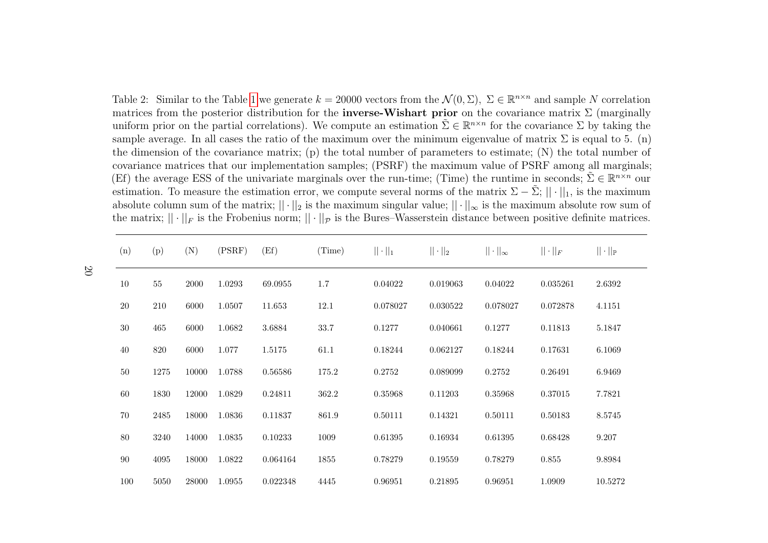<span id="page-19-0"></span>Table 2: Similar to the Table [1](#page-18-1) we generate  $k = 20000$  vectors from the  $\mathcal{N}(0, \Sigma)$ ,  $\Sigma \in \mathbb{R}^{n \times n}$  and sample N correlation we think the second state of the second state  $\Sigma$  (respectively) matrices from the posterior distribution for the **inverse-Wishart prior** on the covariance matrix  $\Sigma$  (marginally uniform prior on the partial correlations). We compute an estimation  $\tilde{\Sigma} \in \mathbb{R}^{n \times n}$  for the covariance  $\Sigma$  by taking the sample average. In all cases the ratio of the maximum over the minimum eigenvalue of matrix  $\Sigma$  is equal to 5. (n) the dimension of the covariance matrix; (p) the total number of parameters to estimate; (N) the total number ofcovariance matrices that our implementation samples; (PSRF) the maximum value of PSRF among all marginals;(Ef) the average ESS of the univariate marginals over the run-time; (Time) the runtime in seconds;  $\tilde{\Sigma} \in \mathbb{R}^{n \times n}$  our estimation. To measure the estimation error, we compute several norms of the matrix  $\Sigma - \tilde{\Sigma}$ ;  $|| \cdot ||_1$ , is the maximum absolute column sum of the matrix;  $|| \cdot ||_2$  is the maximum singular value;  $|| \cdot ||_{\infty}$  is the maximum absolute row sum of the matrix of the matrix of the matrix of the matrix of the matrix of the matrix of the matrix of t the matrix;  $|| \cdot ||_F$  is the Frobenius norm;  $|| \cdot ||_P$  is the Bures–Wasserstein distance between positive definite matrices.

| (n) | (p)  | (N)   | (PSRF) | (Ef)     | (Time) | $   \cdot   _1$ | $   \cdot   _2$ | $  \cdot  _{\infty}$ | $  \cdot  _F$ | $   \cdot   _{\mathbb{P}}$ |
|-----|------|-------|--------|----------|--------|-----------------|-----------------|----------------------|---------------|----------------------------|
| 10  | 55   | 2000  | 1.0293 | 69.0955  | 1.7    | 0.04022         | 0.019063        | 0.04022              | 0.035261      | 2.6392                     |
| 20  | 210  | 6000  | 1.0507 | 11.653   | 12.1   | 0.078027        | 0.030522        | 0.078027             | 0.072878      | 4.1151                     |
| 30  | 465  | 6000  | 1.0682 | 3.6884   | 33.7   | 0.1277          | 0.040661        | 0.1277               | 0.11813       | 5.1847                     |
| 40  | 820  | 6000  | 1.077  | 1.5175   | 61.1   | 0.18244         | 0.062127        | 0.18244              | 0.17631       | 6.1069                     |
| 50  | 1275 | 10000 | 1.0788 | 0.56586  | 175.2  | 0.2752          | 0.089099        | 0.2752               | 0.26491       | 6.9469                     |
| 60  | 1830 | 12000 | 1.0829 | 0.24811  | 362.2  | 0.35968         | 0.11203         | 0.35968              | 0.37015       | 7.7821                     |
| 70  | 2485 | 18000 | 1.0836 | 0.11837  | 861.9  | 0.50111         | 0.14321         | 0.50111              | 0.50183       | 8.5745                     |
| 80  | 3240 | 14000 | 1.0835 | 0.10233  | 1009   | 0.61395         | 0.16934         | 0.61395              | 0.68428       | 9.207                      |
| 90  | 4095 | 18000 | 1.0822 | 0.064164 | 1855   | 0.78279         | 0.19559         | 0.78279              | 0.855         | 9.8984                     |
| 100 | 5050 | 28000 | 1.0955 | 0.022348 | 4445   | 0.96951         | 0.21895         | 0.96951              | 1.0909        | 10.5272                    |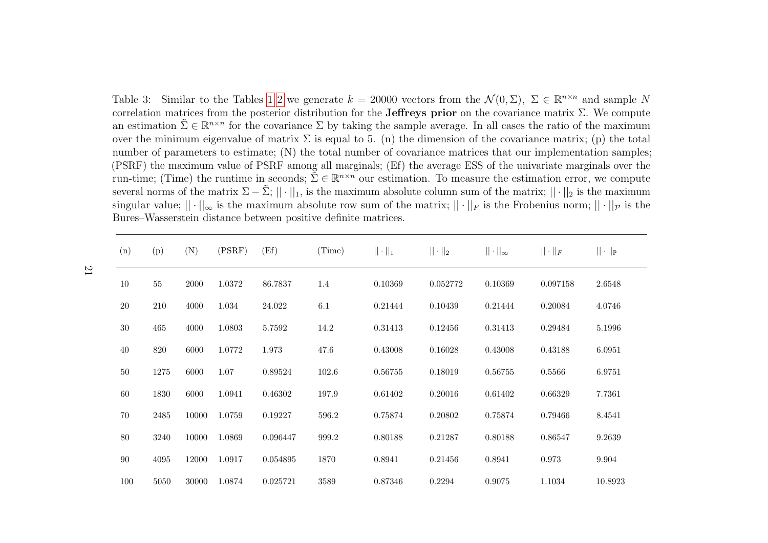Table 3: Similar to the Tables [1](#page-18-1) [2](#page-19-0) we generate  $k = 20000$  vectors from the  $\mathcal{N}(0, \Sigma)$ ,  $\Sigma \in \mathbb{R}^{n \times n}$  and sample N<br>completion metals from the pretarion distribution for the Leftness prior on the convictions metric correlation matrices from the posterior distribution for the **Jeffreys prior** on the covariance matrix  $\Sigma$ . We compute an estimation  $\tilde{\Sigma} \in \mathbb{R}^{n \times n}$  for the covariance  $\Sigma$  by taking the sample average. In all cases the ratio of the maximum over the minimum eigenvalue of matrix  $\Sigma$  is equal to 5. (n) the dimension of the covariance matrix; (p) the total number of parameters to estimate; (N) the total number of covariance matrices that our implementation samples; (PSRF) the maximum value of PSRF among all marginals; (Ef) the average ESS of the univariate marginals over therun-time; (Time) the runtime in seconds;  $\tilde{\Sigma} \in \mathbb{R}^{n \times n}$  our estimation. To measure the estimation error, we compute several norms of the matrix  $\Sigma - \tilde{\Sigma}$ ;  $|| \cdot ||_1$ , is the maximum absolute column sum of the matrix;  $|| \cdot ||_2$  is the maximum singular value;  $|| \cdot ||_{\infty}$  is the maximum absolute row sum of the matrix;  $|| \cdot ||_F$  is the Frobenius norm;  $|| \cdot ||_P$  is the Bures–Wasserstein distance between positive definite matrices.

| (n) | (p)  | (N)   | (PSRF) | (Ef)     | (Time) | $   \cdot   _1$ | $   \cdot   _2$ | $  \cdot  _{\infty}$ | $  \cdot  _F$ | $   \cdot   _{\mathbb{P}}$ |
|-----|------|-------|--------|----------|--------|-----------------|-----------------|----------------------|---------------|----------------------------|
| 10  | 55   | 2000  | 1.0372 | 86.7837  | 1.4    | 0.10369         | 0.052772        | 0.10369              | 0.097158      | 2.6548                     |
| 20  | 210  | 4000  | 1.034  | 24.022   | 6.1    | 0.21444         | 0.10439         | 0.21444              | 0.20084       | 4.0746                     |
| 30  | 465  | 4000  | 1.0803 | 5.7592   | 14.2   | 0.31413         | 0.12456         | 0.31413              | 0.29484       | 5.1996                     |
| 40  | 820  | 6000  | 1.0772 | 1.973    | 47.6   | 0.43008         | 0.16028         | 0.43008              | 0.43188       | 6.0951                     |
| 50  | 1275 | 6000  | 1.07   | 0.89524  | 102.6  | 0.56755         | 0.18019         | 0.56755              | 0.5566        | 6.9751                     |
| 60  | 1830 | 6000  | 1.0941 | 0.46302  | 197.9  | 0.61402         | 0.20016         | 0.61402              | 0.66329       | 7.7361                     |
| 70  | 2485 | 10000 | 1.0759 | 0.19227  | 596.2  | 0.75874         | 0.20802         | 0.75874              | 0.79466       | 8.4541                     |
| 80  | 3240 | 10000 | 1.0869 | 0.096447 | 999.2  | 0.80188         | 0.21287         | 0.80188              | 0.86547       | 9.2639                     |
| 90  | 4095 | 12000 | 1.0917 | 0.054895 | 1870   | 0.8941          | 0.21456         | 0.8941               | 0.973         | 9.904                      |
| 100 | 5050 | 30000 | 1.0874 | 0.025721 | 3589   | 0.87346         | 0.2294          | 0.9075               | 1.1034        | 10.8923                    |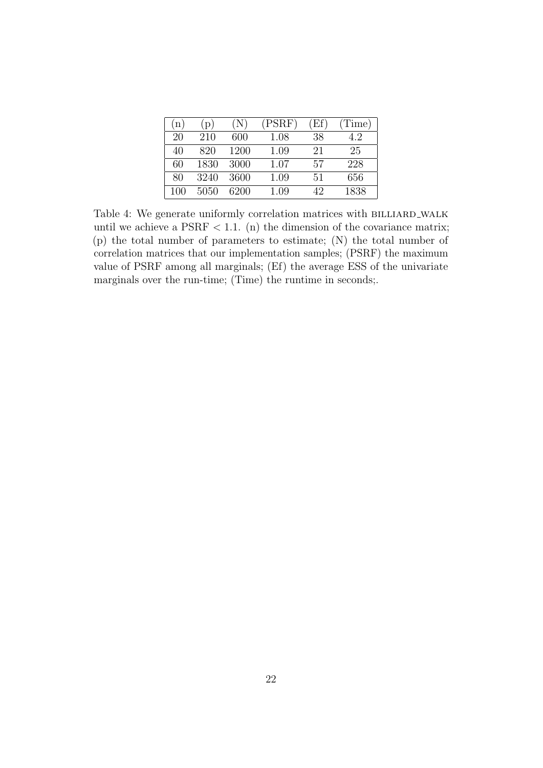<span id="page-21-0"></span>

| 'n, | $\lbrack p)$ | $(\mathrm{N})$ | (PSRF) | (Ef) | (Time) |
|-----|--------------|----------------|--------|------|--------|
| 20  | 210          | 600            | 1.08   | 38   | 4.2    |
| 40  | 820          | 1200           | 1.09   | 21   | 25     |
| 60  | 1830         | 3000           | 1.07   | 57   | 228    |
| 80  | 3240         | 3600           | 1.09   | 51   | 656    |
| 100 | 5050         | 6200           | 1.09   | 42   | 1838   |

Table 4: We generate uniformly correlation matrices with BILLIARD\_WALK until we achieve a  $PSRF < 1.1.$  (n) the dimension of the covariance matrix; (p) the total number of parameters to estimate; (N) the total number of correlation matrices that our implementation samples; (PSRF) the maximum value of PSRF among all marginals; (Ef) the average ESS of the univariate marginals over the run-time; (Time) the runtime in seconds;.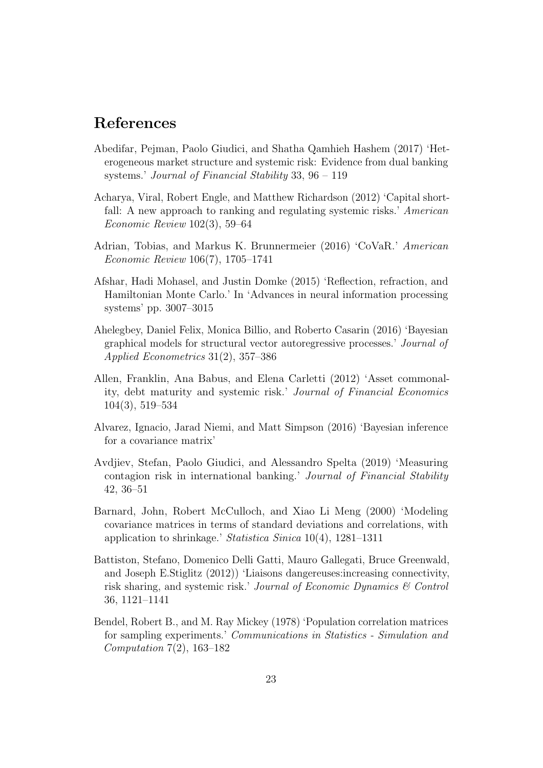## References

- <span id="page-22-5"></span>Abedifar, Pejman, Paolo Giudici, and Shatha Qamhieh Hashem (2017) 'Heterogeneous market structure and systemic risk: Evidence from dual banking systems.' Journal of Financial Stability 33, 96 – 119
- <span id="page-22-0"></span>Acharya, Viral, Robert Engle, and Matthew Richardson (2012) 'Capital shortfall: A new approach to ranking and regulating systemic risks.' American Economic Review 102(3), 59–64
- <span id="page-22-2"></span>Adrian, Tobias, and Markus K. Brunnermeier (2016) 'CoVaR.' American Economic Review 106(7), 1705–1741
- <span id="page-22-10"></span>Afshar, Hadi Mohasel, and Justin Domke (2015) 'Reflection, refraction, and Hamiltonian Monte Carlo.' In 'Advances in neural information processing systems' pp. 3007–3015
- <span id="page-22-3"></span>Ahelegbey, Daniel Felix, Monica Billio, and Roberto Casarin (2016) 'Bayesian graphical models for structural vector autoregressive processes.' Journal of Applied Econometrics 31(2), 357–386
- <span id="page-22-1"></span>Allen, Franklin, Ana Babus, and Elena Carletti (2012) 'Asset commonality, debt maturity and systemic risk.' Journal of Financial Economics 104(3), 519–534
- <span id="page-22-9"></span>Alvarez, Ignacio, Jarad Niemi, and Matt Simpson (2016) 'Bayesian inference for a covariance matrix'
- <span id="page-22-6"></span>Avdjiev, Stefan, Paolo Giudici, and Alessandro Spelta (2019) 'Measuring contagion risk in international banking.' Journal of Financial Stability 42, 36–51
- <span id="page-22-7"></span>Barnard, John, Robert McCulloch, and Xiao Li Meng (2000) 'Modeling covariance matrices in terms of standard deviations and correlations, with application to shrinkage.' Statistica Sinica 10(4), 1281–1311
- <span id="page-22-4"></span>Battiston, Stefano, Domenico Delli Gatti, Mauro Gallegati, Bruce Greenwald, and Joseph E.Stiglitz (2012)) 'Liaisons dangereuses:increasing connectivity, risk sharing, and systemic risk.' Journal of Economic Dynamics & Control 36, 1121–1141
- <span id="page-22-8"></span>Bendel, Robert B., and M. Ray Mickey (1978) 'Population correlation matrices for sampling experiments.' Communications in Statistics - Simulation and Computation 7(2), 163–182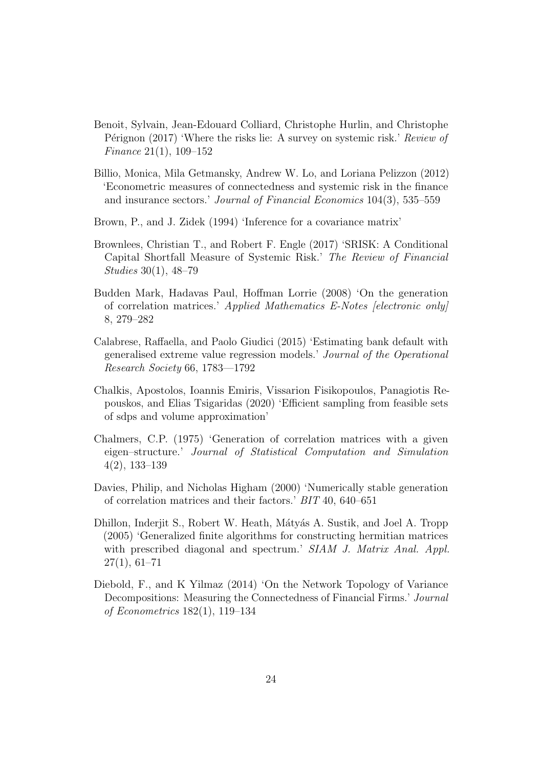- <span id="page-23-0"></span>Benoit, Sylvain, Jean-Edouard Colliard, Christophe Hurlin, and Christophe Pérignon (2017) 'Where the risks lie: A survey on systemic risk.' Review of Finance 21(1), 109–152
- <span id="page-23-1"></span>Billio, Monica, Mila Getmansky, Andrew W. Lo, and Loriana Pelizzon (2012) 'Econometric measures of connectedness and systemic risk in the finance and insurance sectors.' Journal of Financial Economics 104(3), 535–559
- <span id="page-23-9"></span>Brown, P., and J. Zidek (1994) 'Inference for a covariance matrix'
- <span id="page-23-2"></span>Brownlees, Christian T., and Robert F. Engle (2017) 'SRISK: A Conditional Capital Shortfall Measure of Systemic Risk.' The Review of Financial Studies 30(1), 48–79
- <span id="page-23-8"></span>Budden Mark, Hadavas Paul, Hoffman Lorrie (2008) 'On the generation of correlation matrices.' Applied Mathematics E-Notes [electronic only] 8, 279–282
- <span id="page-23-3"></span>Calabrese, Raffaella, and Paolo Giudici (2015) 'Estimating bank default with generalised extreme value regression models.' Journal of the Operational Research Society 66, 1783––1792
- <span id="page-23-10"></span>Chalkis, Apostolos, Ioannis Emiris, Vissarion Fisikopoulos, Panagiotis Repouskos, and Elias Tsigaridas (2020) 'Efficient sampling from feasible sets of sdps and volume approximation'
- <span id="page-23-5"></span>Chalmers, C.P. (1975) 'Generation of correlation matrices with a given eigen–structure.' Journal of Statistical Computation and Simulation 4(2), 133–139
- <span id="page-23-6"></span>Davies, Philip, and Nicholas Higham (2000) 'Numerically stable generation of correlation matrices and their factors.' BIT 40, 640–651
- <span id="page-23-7"></span>Dhillon, Inderjit S., Robert W. Heath, Mátyás A. Sustik, and Joel A. Tropp (2005) 'Generalized finite algorithms for constructing hermitian matrices with prescribed diagonal and spectrum.' SIAM J. Matrix Anal. Appl.  $27(1), 61-71$
- <span id="page-23-4"></span>Diebold, F., and K Yilmaz (2014) 'On the Network Topology of Variance Decompositions: Measuring the Connectedness of Financial Firms.' Journal of Econometrics 182(1), 119–134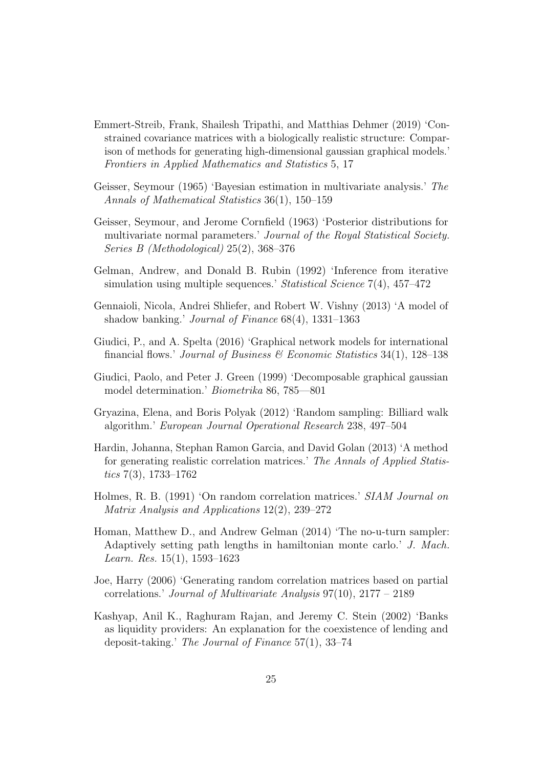- <span id="page-24-8"></span>Emmert-Streib, Frank, Shailesh Tripathi, and Matthias Dehmer (2019) 'Constrained covariance matrices with a biologically realistic structure: Comparison of methods for generating high-dimensional gaussian graphical models.' Frontiers in Applied Mathematics and Statistics 5, 17
- <span id="page-24-5"></span>Geisser, Seymour (1965) 'Bayesian estimation in multivariate analysis.' The Annals of Mathematical Statistics 36(1), 150–159
- <span id="page-24-4"></span>Geisser, Seymour, and Jerome Cornfield (1963) 'Posterior distributions for multivariate normal parameters.' Journal of the Royal Statistical Society. Series B (Methodological) 25(2), 368–376
- <span id="page-24-12"></span>Gelman, Andrew, and Donald B. Rubin (1992) 'Inference from iterative simulation using multiple sequences.' Statistical Science 7(4), 457–472
- <span id="page-24-1"></span>Gennaioli, Nicola, Andrei Shliefer, and Robert W. Vishny (2013) 'A model of shadow banking.' Journal of Finance 68(4), 1331–1363
- <span id="page-24-3"></span>Giudici, P., and A. Spelta (2016) 'Graphical network models for international financial flows.' Journal of Business  $\mathcal C$  Economic Statistics 34(1), 128–138
- <span id="page-24-2"></span>Giudici, Paolo, and Peter J. Green (1999) 'Decomposable graphical gaussian model determination.' Biometrika 86, 785––801
- <span id="page-24-10"></span>Gryazina, Elena, and Boris Polyak (2012) 'Random sampling: Billiard walk algorithm.' European Journal Operational Research 238, 497–504
- <span id="page-24-9"></span>Hardin, Johanna, Stephan Ramon Garcia, and David Golan (2013) 'A method for generating realistic correlation matrices.' The Annals of Applied Statistics 7(3), 1733–1762
- <span id="page-24-6"></span>Holmes, R. B. (1991) 'On random correlation matrices.' SIAM Journal on Matrix Analysis and Applications 12(2), 239–272
- <span id="page-24-11"></span>Homan, Matthew D., and Andrew Gelman (2014) 'The no-u-turn sampler: Adaptively setting path lengths in hamiltonian monte carlo.' J. Mach. Learn. Res. 15(1), 1593–1623
- <span id="page-24-7"></span>Joe, Harry (2006) 'Generating random correlation matrices based on partial correlations.' Journal of Multivariate Analysis 97(10), 2177 – 2189
- <span id="page-24-0"></span>Kashyap, Anil K., Raghuram Rajan, and Jeremy C. Stein (2002) 'Banks as liquidity providers: An explanation for the coexistence of lending and deposit-taking.' The Journal of Finance 57(1), 33–74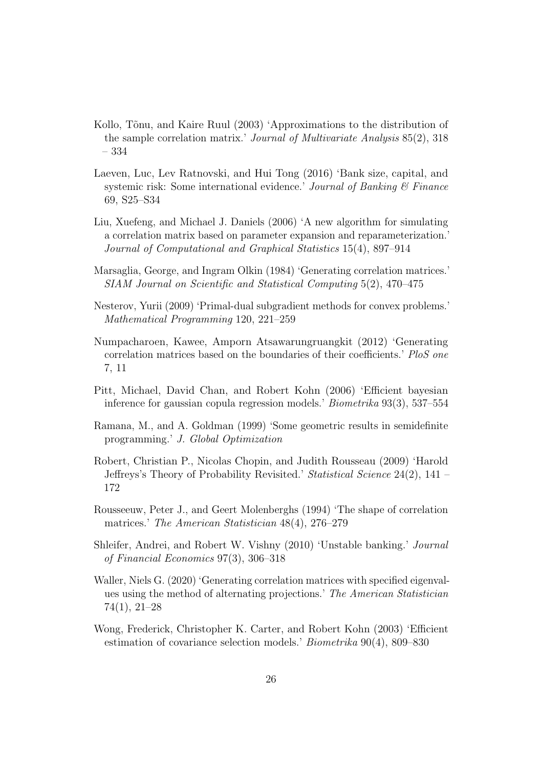- <span id="page-25-10"></span>Kollo, Tõnu, and Kaire Ruul (2003) 'Approximations to the distribution of the sample correlation matrix.' Journal of Multivariate Analysis 85(2), 318 – 334
- <span id="page-25-0"></span>Laeven, Luc, Lev Ratnovski, and Hui Tong (2016) 'Bank size, capital, and systemic risk: Some international evidence.' Journal of Banking  $\mathcal C$  Finance 69, S25–S34
- <span id="page-25-8"></span>Liu, Xuefeng, and Michael J. Daniels (2006) 'A new algorithm for simulating a correlation matrix based on parameter expansion and reparameterization.' Journal of Computational and Graphical Statistics 15(4), 897–914
- <span id="page-25-7"></span>Marsaglia, George, and Ingram Olkin (1984) 'Generating correlation matrices.' SIAM Journal on Scientific and Statistical Computing 5(2), 470–475
- <span id="page-25-12"></span>Nesterov, Yurii (2009) 'Primal-dual subgradient methods for convex problems.' Mathematical Programming 120, 221–259
- <span id="page-25-3"></span>Numpacharoen, Kawee, Amporn Atsawarungruangkit (2012) 'Generating correlation matrices based on the boundaries of their coefficients.' PloS one 7, 11
- <span id="page-25-9"></span>Pitt, Michael, David Chan, and Robert Kohn (2006) 'Efficient bayesian inference for gaussian copula regression models.' Biometrika 93(3), 537–554
- <span id="page-25-11"></span>Ramana, M., and A. Goldman (1999) 'Some geometric results in semidefinite programming.' J. Global Optimization
- <span id="page-25-4"></span>Robert, Christian P., Nicolas Chopin, and Judith Rousseau (2009) 'Harold Jeffreys's Theory of Probability Revisited.' Statistical Science 24(2), 141 – 172
- <span id="page-25-5"></span>Rousseeuw, Peter J., and Geert Molenberghs (1994) 'The shape of correlation matrices.' The American Statistician 48(4), 276–279
- <span id="page-25-1"></span>Shleifer, Andrei, and Robert W. Vishny (2010) 'Unstable banking.' Journal of Financial Economics 97(3), 306–318
- <span id="page-25-6"></span>Waller, Niels G. (2020) 'Generating correlation matrices with specified eigenvalues using the method of alternating projections.' The American Statistician 74(1), 21–28
- <span id="page-25-2"></span>Wong, Frederick, Christopher K. Carter, and Robert Kohn (2003) 'Efficient estimation of covariance selection models.' Biometrika 90(4), 809–830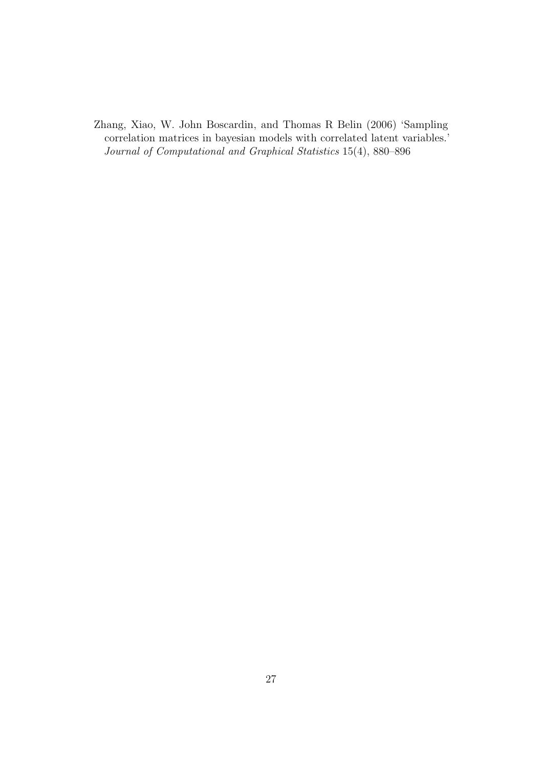<span id="page-26-0"></span>Zhang, Xiao, W. John Boscardin, and Thomas R Belin (2006) 'Sampling correlation matrices in bayesian models with correlated latent variables.' Journal of Computational and Graphical Statistics 15(4), 880–896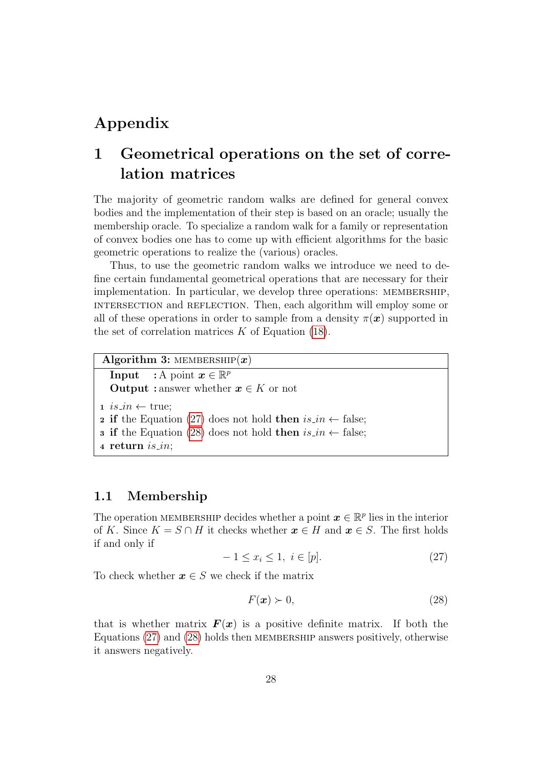## Appendix

## 1 Geometrical operations on the set of correlation matrices

The majority of geometric random walks are defined for general convex bodies and the implementation of their step is based on an oracle; usually the membership oracle. To specialize a random walk for a family or representation of convex bodies one has to come up with efficient algorithms for the basic geometric operations to realize the (various) oracles.

Thus, to use the geometric random walks we introduce we need to define certain fundamental geometrical operations that are necessary for their implementation. In particular, we develop three operations: membership, intersection and reflection. Then, each algorithm will employ some or all of these operations in order to sample from a density  $\pi(\mathbf{x})$  supported in the set of correlation matrices  $K$  of Equation [\(18\)](#page-8-1).

```
Algorithm 3: MEMBERSHIP(x)Input : A point \boldsymbol{x} \in \mathbb{R}^pOutput : answer whether x \in K or not
i s \cdot in \leftarrow \text{true};2(27) does not hold then is_in \leftarrow false;3 if(28) does not hold then is_in \leftarrow false;4 return is in;
```
### 1.1 Membership

The operation MEMBERSHIP decides whether a point  $\boldsymbol{x} \in \mathbb{R}^p$  lies in the interior of K. Since  $K = S \cap H$  it checks whether  $x \in H$  and  $x \in S$ . The first holds if and only if

<span id="page-27-0"></span>
$$
-1 \le x_i \le 1, \ i \in [p]. \tag{27}
$$

To check whether  $x \in S$  we check if the matrix

<span id="page-27-1"></span>
$$
F(\boldsymbol{x}) \succ 0,\tag{28}
$$

that is whether matrix  $F(x)$  is a positive definite matrix. If both the Equations [\(27\)](#page-27-0) and [\(28\)](#page-27-1) holds then MEMBERSHIP answers positively, otherwise it answers negatively.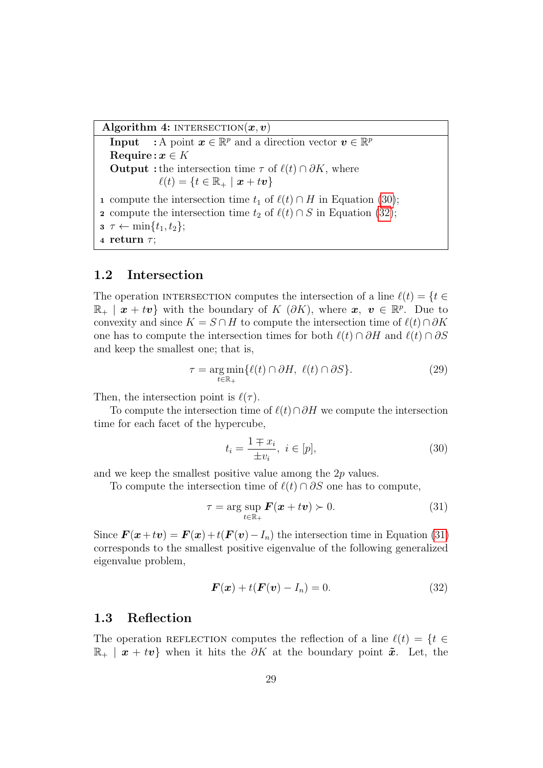Algorithm 4: INTERSECTION $(x, v)$ 

**Input** : A point  $x \in \mathbb{R}^p$  and a direction vector  $v \in \mathbb{R}^p$ Require:  $x \in K$ **Output** : the intersection time  $\tau$  of  $\ell(t) \cap \partial K$ , where  $\ell(t) = \{t \in \mathbb{R}_+ \mid x + tv\}$ 1 compute the intersection time  $t_1$  of  $\ell(t) \cap H$  in Equation [\(30\)](#page-28-0); 2 compute the intersection time  $t_2$  of  $\ell(t) \cap S$  in Equation [\(32\)](#page-28-1);  $\sigma \tau \leftarrow \min\{t_1, t_2\};$ 4 return  $\tau$ ;

### 1.2 Intersection

The operation INTERSECTION computes the intersection of a line  $\ell(t) = \{t \in$  $\mathbb{R}_+$  |  $\bm{x} + t\bm{v}$ } with the boundary of  $K$  ( $\partial K$ ), where  $\bm{x}, \bm{v} \in \mathbb{R}^p$ . Due to convexity and since  $K = S \cap H$  to compute the intersection time of  $\ell(t) \cap \partial K$ one has to compute the intersection times for both  $\ell(t) \cap \partial H$  and  $\ell(t) \cap \partial S$ and keep the smallest one; that is,

$$
\tau = \underset{t \in \mathbb{R}_+}{\arg \min} \{ \ell(t) \cap \partial H, \ \ell(t) \cap \partial S \}. \tag{29}
$$

Then, the intersection point is  $\ell(\tau)$ .

To compute the intersection time of  $\ell(t) \cap \partial H$  we compute the intersection time for each facet of the hypercube,

<span id="page-28-0"></span>
$$
t_i = \frac{1 \mp x_i}{\pm v_i}, \ i \in [p],\tag{30}
$$

and we keep the smallest positive value among the 2p values.

To compute the intersection time of  $\ell(t) \cap \partial S$  one has to compute,

<span id="page-28-2"></span>
$$
\tau = \arg \sup_{t \in \mathbb{R}_+} \mathbf{F}(\mathbf{x} + t\mathbf{v}) \succ 0. \tag{31}
$$

Since  $\mathbf{F}(\mathbf{x}+t\mathbf{v}) = \mathbf{F}(\mathbf{x}) + t(\mathbf{F}(\mathbf{v})-I_n)$  the intersection time in Equation [\(31\)](#page-28-2) corresponds to the smallest positive eigenvalue of the following generalized eigenvalue problem,

<span id="page-28-1"></span>
$$
\boldsymbol{F}(\boldsymbol{x}) + t(\boldsymbol{F}(\boldsymbol{v}) - I_n) = 0. \tag{32}
$$

### 1.3 Reflection

The operation REFLECTION computes the reflection of a line  $\ell(t) = \{t \in$  $\mathbb{R}_+$  |  $x + tv$ } when it hits the  $\partial K$  at the boundary point  $\tilde{x}$ . Let, the